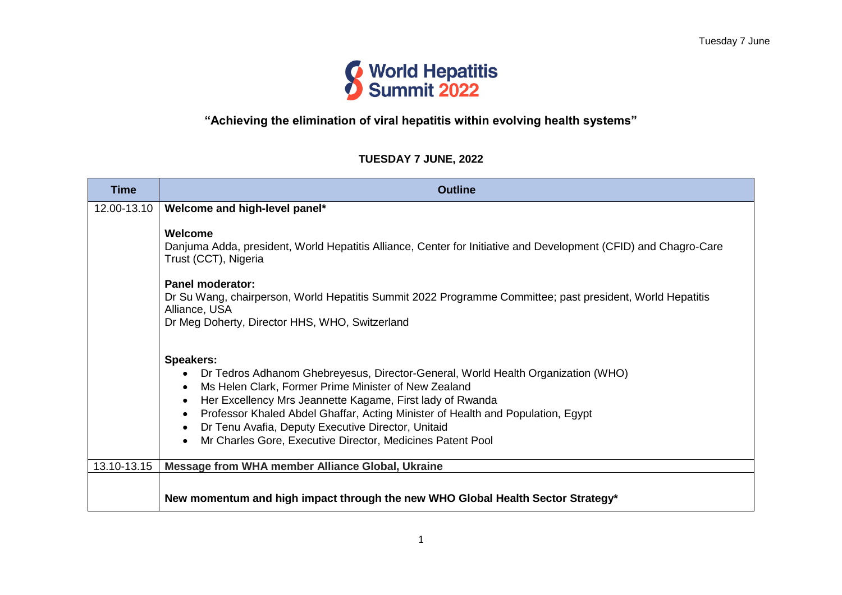

# **"Achieving the elimination of viral hepatitis within evolving health systems"**

### **TUESDAY 7 JUNE, 2022**

| <b>Time</b> | <b>Outline</b>                                                                                                                                                                                                                                                                                                                                                                                                                                                          |
|-------------|-------------------------------------------------------------------------------------------------------------------------------------------------------------------------------------------------------------------------------------------------------------------------------------------------------------------------------------------------------------------------------------------------------------------------------------------------------------------------|
| 12.00-13.10 | Welcome and high-level panel*                                                                                                                                                                                                                                                                                                                                                                                                                                           |
|             | Welcome<br>Danjuma Adda, president, World Hepatitis Alliance, Center for Initiative and Development (CFID) and Chagro-Care<br>Trust (CCT), Nigeria<br>Panel moderator:<br>Dr Su Wang, chairperson, World Hepatitis Summit 2022 Programme Committee; past president, World Hepatitis<br>Alliance, USA<br>Dr Meg Doherty, Director HHS, WHO, Switzerland                                                                                                                  |
|             | <b>Speakers:</b><br>Dr Tedros Adhanom Ghebreyesus, Director-General, World Health Organization (WHO)<br>Ms Helen Clark, Former Prime Minister of New Zealand<br>$\bullet$<br>Her Excellency Mrs Jeannette Kagame, First lady of Rwanda<br>Professor Khaled Abdel Ghaffar, Acting Minister of Health and Population, Egypt<br>$\bullet$<br>Dr Tenu Avafia, Deputy Executive Director, Unitaid<br>Mr Charles Gore, Executive Director, Medicines Patent Pool<br>$\bullet$ |
| 13.10-13.15 | Message from WHA member Alliance Global, Ukraine                                                                                                                                                                                                                                                                                                                                                                                                                        |
|             | New momentum and high impact through the new WHO Global Health Sector Strategy*                                                                                                                                                                                                                                                                                                                                                                                         |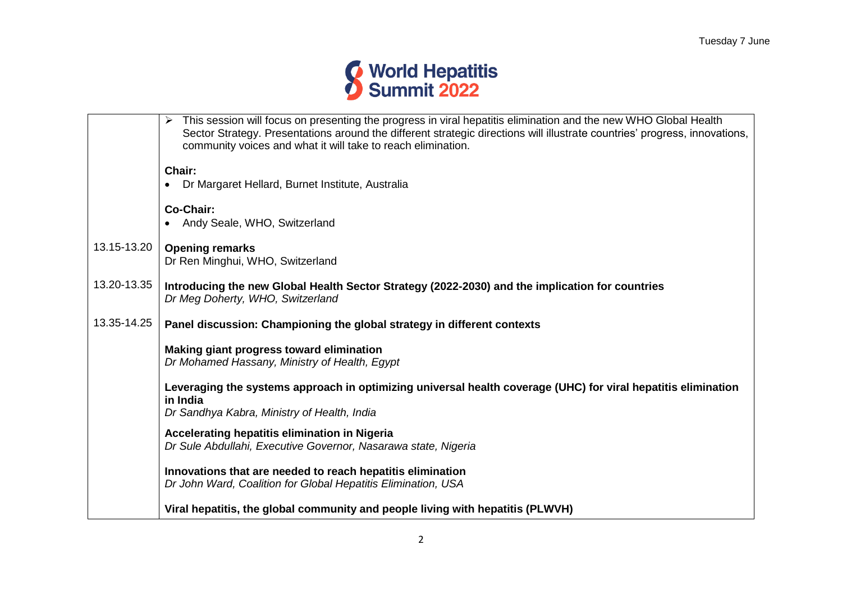

|             | This session will focus on presenting the progress in viral hepatitis elimination and the new WHO Global Health<br>➤<br>Sector Strategy. Presentations around the different strategic directions will illustrate countries' progress, innovations,<br>community voices and what it will take to reach elimination. |
|-------------|--------------------------------------------------------------------------------------------------------------------------------------------------------------------------------------------------------------------------------------------------------------------------------------------------------------------|
|             | Chair:                                                                                                                                                                                                                                                                                                             |
|             | Dr Margaret Hellard, Burnet Institute, Australia                                                                                                                                                                                                                                                                   |
|             | Co-Chair:                                                                                                                                                                                                                                                                                                          |
|             | Andy Seale, WHO, Switzerland                                                                                                                                                                                                                                                                                       |
| 13.15-13.20 | <b>Opening remarks</b>                                                                                                                                                                                                                                                                                             |
|             | Dr Ren Minghui, WHO, Switzerland                                                                                                                                                                                                                                                                                   |
| 13.20-13.35 | Introducing the new Global Health Sector Strategy (2022-2030) and the implication for countries                                                                                                                                                                                                                    |
|             | Dr Meg Doherty, WHO, Switzerland                                                                                                                                                                                                                                                                                   |
| 13.35-14.25 | Panel discussion: Championing the global strategy in different contexts                                                                                                                                                                                                                                            |
|             | Making giant progress toward elimination                                                                                                                                                                                                                                                                           |
|             | Dr Mohamed Hassany, Ministry of Health, Egypt                                                                                                                                                                                                                                                                      |
|             | Leveraging the systems approach in optimizing universal health coverage (UHC) for viral hepatitis elimination                                                                                                                                                                                                      |
|             | in India                                                                                                                                                                                                                                                                                                           |
|             | Dr Sandhya Kabra, Ministry of Health, India                                                                                                                                                                                                                                                                        |
|             | Accelerating hepatitis elimination in Nigeria                                                                                                                                                                                                                                                                      |
|             | Dr Sule Abdullahi, Executive Governor, Nasarawa state, Nigeria                                                                                                                                                                                                                                                     |
|             | Innovations that are needed to reach hepatitis elimination                                                                                                                                                                                                                                                         |
|             | Dr John Ward, Coalition for Global Hepatitis Elimination, USA                                                                                                                                                                                                                                                      |
|             | Viral hepatitis, the global community and people living with hepatitis (PLWVH)                                                                                                                                                                                                                                     |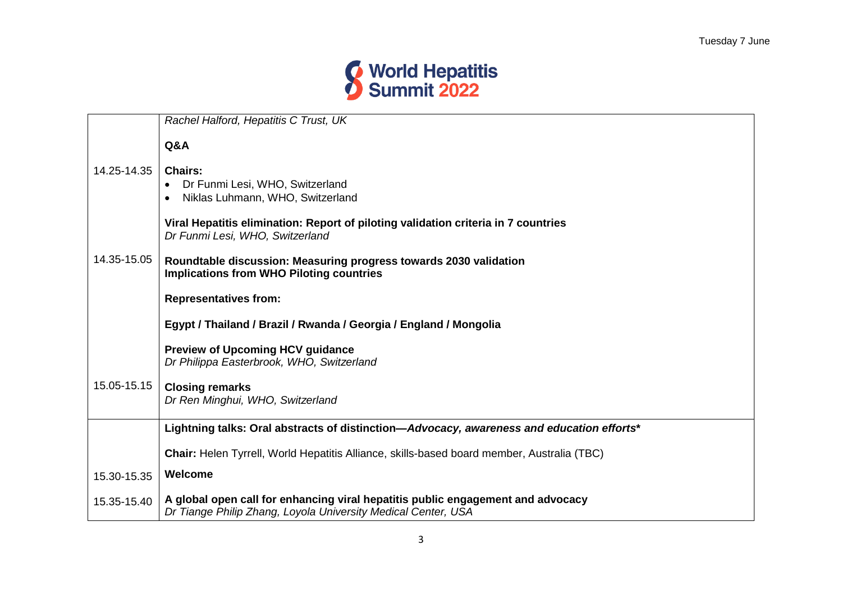

|             | Rachel Halford, Hepatitis C Trust, UK                                                                                                            |
|-------------|--------------------------------------------------------------------------------------------------------------------------------------------------|
|             | Q&A                                                                                                                                              |
| 14.25-14.35 | <b>Chairs:</b><br>Dr Funmi Lesi, WHO, Switzerland<br>Niklas Luhmann, WHO, Switzerland                                                            |
|             | Viral Hepatitis elimination: Report of piloting validation criteria in 7 countries<br>Dr Funmi Lesi, WHO, Switzerland                            |
| 14.35-15.05 | Roundtable discussion: Measuring progress towards 2030 validation<br><b>Implications from WHO Piloting countries</b>                             |
|             | <b>Representatives from:</b>                                                                                                                     |
|             | Egypt / Thailand / Brazil / Rwanda / Georgia / England / Mongolia                                                                                |
|             | <b>Preview of Upcoming HCV guidance</b><br>Dr Philippa Easterbrook, WHO, Switzerland                                                             |
| 15.05-15.15 | <b>Closing remarks</b><br>Dr Ren Minghui, WHO, Switzerland                                                                                       |
|             | Lightning talks: Oral abstracts of distinction-Advocacy, awareness and education efforts*                                                        |
|             | <b>Chair:</b> Helen Tyrrell, World Hepatitis Alliance, skills-based board member, Australia (TBC)                                                |
| 15.30-15.35 | Welcome                                                                                                                                          |
| 15.35-15.40 | A global open call for enhancing viral hepatitis public engagement and advocacy<br>Dr Tiange Philip Zhang, Loyola University Medical Center, USA |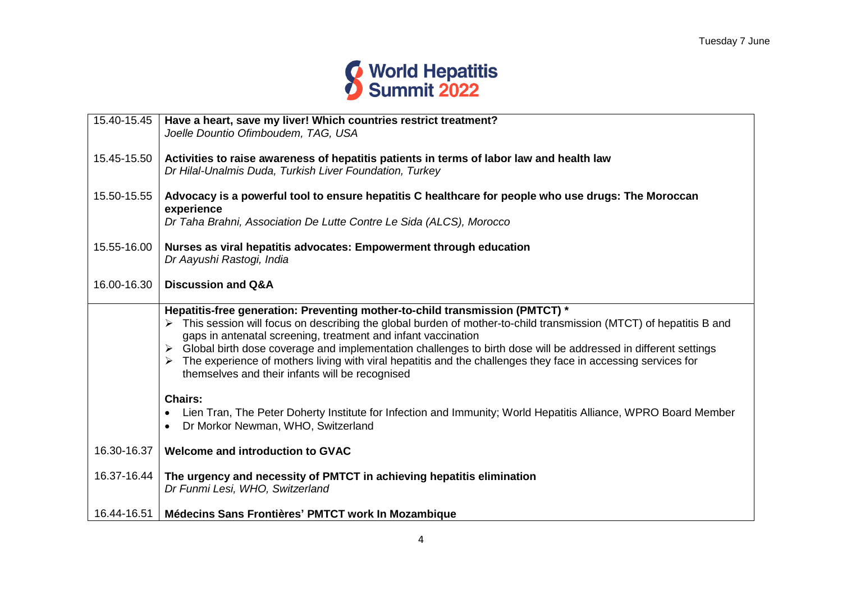

| 15.40-15.45 | Have a heart, save my liver! Which countries restrict treatment?<br>Joelle Dountio Ofimboudem, TAG, USA                                                                                                                                                                                                                                                                                                                                                                                                                                                   |
|-------------|-----------------------------------------------------------------------------------------------------------------------------------------------------------------------------------------------------------------------------------------------------------------------------------------------------------------------------------------------------------------------------------------------------------------------------------------------------------------------------------------------------------------------------------------------------------|
| 15.45-15.50 | Activities to raise awareness of hepatitis patients in terms of labor law and health law<br>Dr Hilal-Unalmis Duda, Turkish Liver Foundation, Turkey                                                                                                                                                                                                                                                                                                                                                                                                       |
| 15.50-15.55 | Advocacy is a powerful tool to ensure hepatitis C healthcare for people who use drugs: The Moroccan<br>experience                                                                                                                                                                                                                                                                                                                                                                                                                                         |
|             | Dr Taha Brahni, Association De Lutte Contre Le Sida (ALCS), Morocco                                                                                                                                                                                                                                                                                                                                                                                                                                                                                       |
| 15.55-16.00 | Nurses as viral hepatitis advocates: Empowerment through education<br>Dr Aayushi Rastogi, India                                                                                                                                                                                                                                                                                                                                                                                                                                                           |
| 16.00-16.30 | <b>Discussion and Q&amp;A</b>                                                                                                                                                                                                                                                                                                                                                                                                                                                                                                                             |
|             | Hepatitis-free generation: Preventing mother-to-child transmission (PMTCT) *<br>This session will focus on describing the global burden of mother-to-child transmission (MTCT) of hepatitis B and<br>gaps in antenatal screening, treatment and infant vaccination<br>> Global birth dose coverage and implementation challenges to birth dose will be addressed in different settings<br>The experience of mothers living with viral hepatitis and the challenges they face in accessing services for<br>themselves and their infants will be recognised |
|             | <b>Chairs:</b><br>Lien Tran, The Peter Doherty Institute for Infection and Immunity; World Hepatitis Alliance, WPRO Board Member<br>Dr Morkor Newman, WHO, Switzerland                                                                                                                                                                                                                                                                                                                                                                                    |
| 16.30-16.37 | Welcome and introduction to GVAC                                                                                                                                                                                                                                                                                                                                                                                                                                                                                                                          |
| 16.37-16.44 | The urgency and necessity of PMTCT in achieving hepatitis elimination<br>Dr Funmi Lesi, WHO, Switzerland                                                                                                                                                                                                                                                                                                                                                                                                                                                  |
| 16.44-16.51 | Médecins Sans Frontières' PMTCT work In Mozambique                                                                                                                                                                                                                                                                                                                                                                                                                                                                                                        |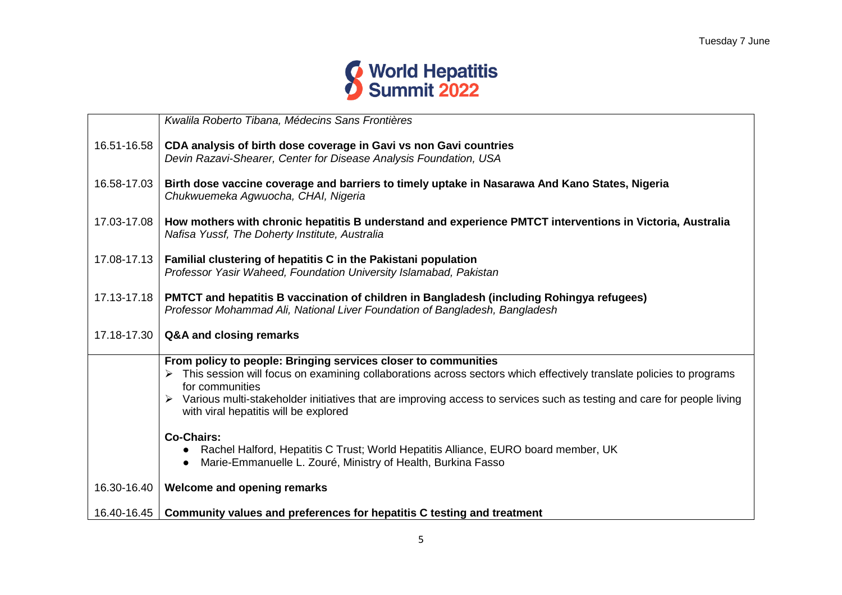

|             | Kwalila Roberto Tibana, Médecins Sans Frontières                                                                                                                                                                                                                                                                                                                                |
|-------------|---------------------------------------------------------------------------------------------------------------------------------------------------------------------------------------------------------------------------------------------------------------------------------------------------------------------------------------------------------------------------------|
| 16.51-16.58 | CDA analysis of birth dose coverage in Gavi vs non Gavi countries<br>Devin Razavi-Shearer, Center for Disease Analysis Foundation, USA                                                                                                                                                                                                                                          |
| 16.58-17.03 | Birth dose vaccine coverage and barriers to timely uptake in Nasarawa And Kano States, Nigeria<br>Chukwuemeka Agwuocha, CHAI, Nigeria                                                                                                                                                                                                                                           |
| 17.03-17.08 | How mothers with chronic hepatitis B understand and experience PMTCT interventions in Victoria, Australia<br>Nafisa Yussf, The Doherty Institute, Australia                                                                                                                                                                                                                     |
| 17.08-17.13 | Familial clustering of hepatitis C in the Pakistani population<br>Professor Yasir Waheed, Foundation University Islamabad, Pakistan                                                                                                                                                                                                                                             |
| 17.13-17.18 | PMTCT and hepatitis B vaccination of children in Bangladesh (including Rohingya refugees)<br>Professor Mohammad Ali, National Liver Foundation of Bangladesh, Bangladesh                                                                                                                                                                                                        |
| 17.18-17.30 | Q&A and closing remarks                                                                                                                                                                                                                                                                                                                                                         |
|             | From policy to people: Bringing services closer to communities<br>> This session will focus on examining collaborations across sectors which effectively translate policies to programs<br>for communities<br>> Various multi-stakeholder initiatives that are improving access to services such as testing and care for people living<br>with viral hepatitis will be explored |
|             | <b>Co-Chairs:</b><br>Rachel Halford, Hepatitis C Trust; World Hepatitis Alliance, EURO board member, UK<br>$\bullet$<br>Marie-Emmanuelle L. Zouré, Ministry of Health, Burkina Fasso                                                                                                                                                                                            |
| 16.30-16.40 | Welcome and opening remarks                                                                                                                                                                                                                                                                                                                                                     |
| 16.40-16.45 | Community values and preferences for hepatitis C testing and treatment                                                                                                                                                                                                                                                                                                          |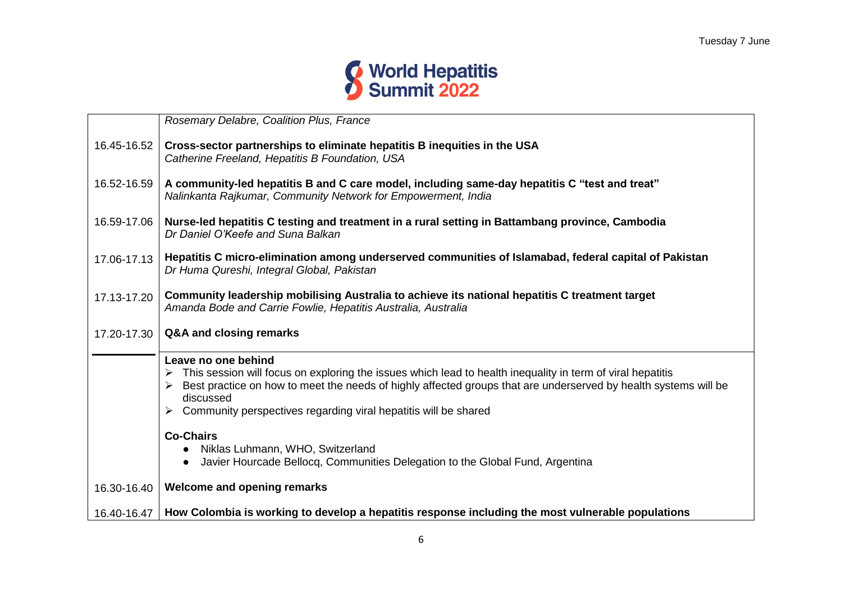

|             | Rosemary Delabre, Coalition Plus, France                                                                                                                                                                                                                                                                                                       |
|-------------|------------------------------------------------------------------------------------------------------------------------------------------------------------------------------------------------------------------------------------------------------------------------------------------------------------------------------------------------|
| 16.45-16.52 | Cross-sector partnerships to eliminate hepatitis B inequities in the USA<br>Catherine Freeland, Hepatitis B Foundation, USA                                                                                                                                                                                                                    |
| 16.52-16.59 | A community-led hepatitis B and C care model, including same-day hepatitis C "test and treat"<br>Nalinkanta Rajkumar, Community Network for Empowerment, India                                                                                                                                                                                 |
| 16.59-17.06 | Nurse-led hepatitis C testing and treatment in a rural setting in Battambang province, Cambodia<br>Dr Daniel O'Keefe and Suna Balkan                                                                                                                                                                                                           |
| 17.06-17.13 | Hepatitis C micro-elimination among underserved communities of Islamabad, federal capital of Pakistan<br>Dr Huma Qureshi, Integral Global, Pakistan                                                                                                                                                                                            |
| 17.13-17.20 | Community leadership mobilising Australia to achieve its national hepatitis C treatment target<br>Amanda Bode and Carrie Fowlie, Hepatitis Australia, Australia                                                                                                                                                                                |
| 17.20-17.30 | Q&A and closing remarks                                                                                                                                                                                                                                                                                                                        |
|             | Leave no one behind<br>This session will focus on exploring the issues which lead to health inequality in term of viral hepatitis<br>➤<br>Best practice on how to meet the needs of highly affected groups that are underserved by health systems will be<br>discussed<br>Community perspectives regarding viral hepatitis will be shared<br>➤ |
|             | <b>Co-Chairs</b>                                                                                                                                                                                                                                                                                                                               |
|             | Niklas Luhmann, WHO, Switzerland<br>$\bullet$<br>Javier Hourcade Bellocq, Communities Delegation to the Global Fund, Argentina<br>$\bullet$                                                                                                                                                                                                    |
| 16.30-16.40 | <b>Welcome and opening remarks</b>                                                                                                                                                                                                                                                                                                             |
| 16.40-16.47 | How Colombia is working to develop a hepatitis response including the most vulnerable populations                                                                                                                                                                                                                                              |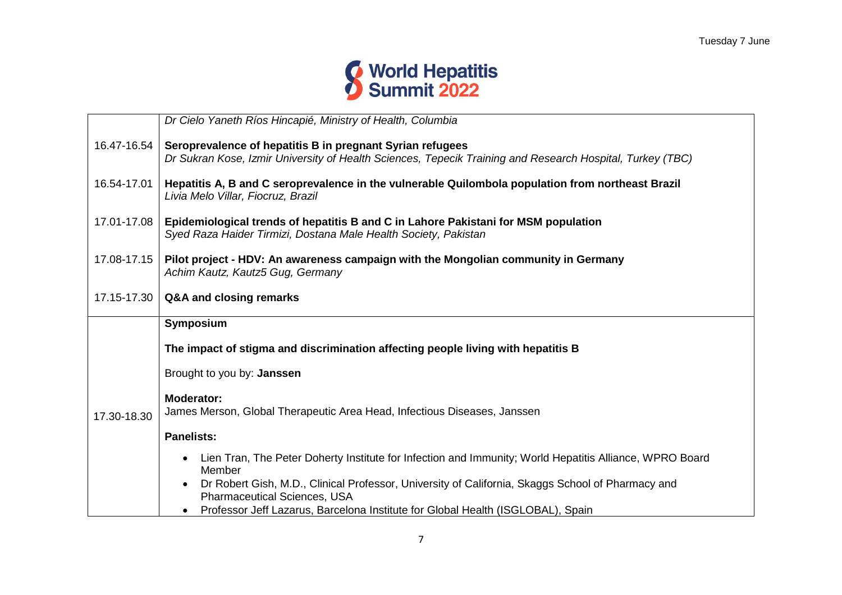

|             | Dr Cielo Yaneth Ríos Hincapié, Ministry of Health, Columbia                                                                                                            |
|-------------|------------------------------------------------------------------------------------------------------------------------------------------------------------------------|
| 16.47-16.54 | Seroprevalence of hepatitis B in pregnant Syrian refugees<br>Dr Sukran Kose, Izmir University of Health Sciences, Tepecik Training and Research Hospital, Turkey (TBC) |
| 16.54-17.01 | Hepatitis A, B and C seroprevalence in the vulnerable Quilombola population from northeast Brazil<br>Livia Melo Villar, Fiocruz, Brazil                                |
| 17.01-17.08 | Epidemiological trends of hepatitis B and C in Lahore Pakistani for MSM population<br>Syed Raza Haider Tirmizi, Dostana Male Health Society, Pakistan                  |
| 17.08-17.15 | Pilot project - HDV: An awareness campaign with the Mongolian community in Germany<br>Achim Kautz, Kautz5 Gug, Germany                                                 |
| 17.15-17.30 | Q&A and closing remarks                                                                                                                                                |
|             | Symposium                                                                                                                                                              |
|             | The impact of stigma and discrimination affecting people living with hepatitis B                                                                                       |
|             | Brought to you by: Janssen                                                                                                                                             |
| 17.30-18.30 | Moderator:<br>James Merson, Global Therapeutic Area Head, Infectious Diseases, Janssen                                                                                 |
|             | <b>Panelists:</b>                                                                                                                                                      |
|             | Lien Tran, The Peter Doherty Institute for Infection and Immunity; World Hepatitis Alliance, WPRO Board<br>Member                                                      |
|             | Dr Robert Gish, M.D., Clinical Professor, University of California, Skaggs School of Pharmacy and<br><b>Pharmaceutical Sciences, USA</b>                               |
|             | Professor Jeff Lazarus, Barcelona Institute for Global Health (ISGLOBAL), Spain                                                                                        |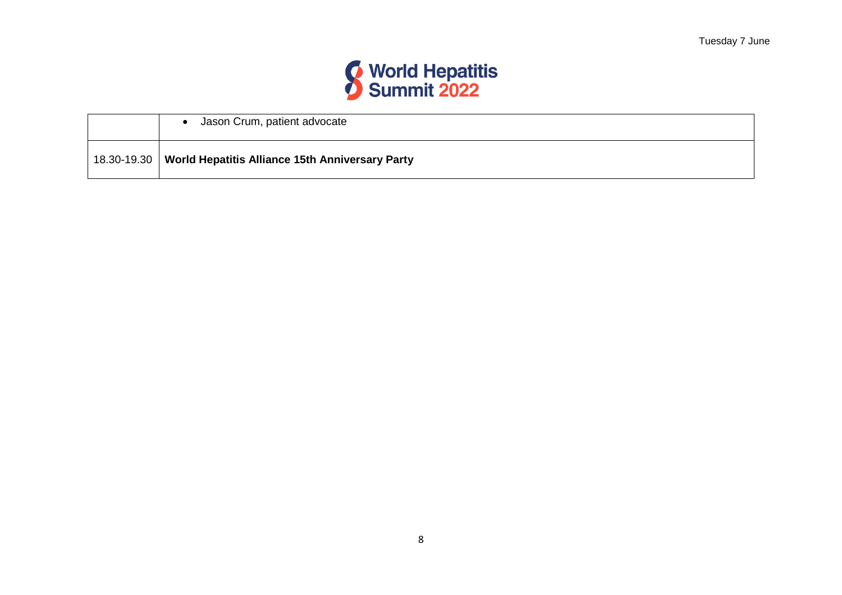

|                 | Jason Crum, patient advocate                    |
|-----------------|-------------------------------------------------|
| $18.30 - 19.30$ | World Hepatitis Alliance 15th Anniversary Party |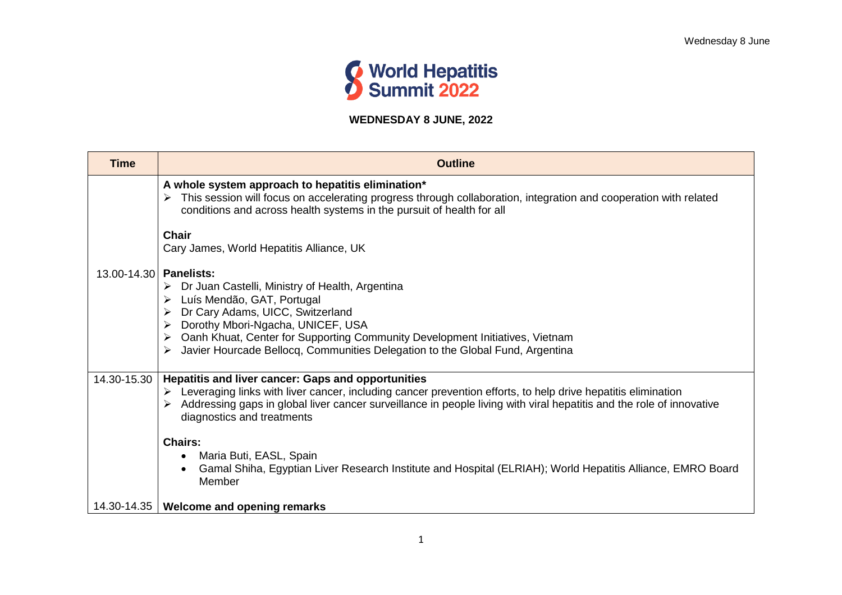

## **WEDNESDAY 8 JUNE, 2022**

| <b>Time</b>            | <b>Outline</b>                                                                                                                                                                                                                                                                                                                                          |
|------------------------|---------------------------------------------------------------------------------------------------------------------------------------------------------------------------------------------------------------------------------------------------------------------------------------------------------------------------------------------------------|
|                        | A whole system approach to hepatitis elimination*<br>This session will focus on accelerating progress through collaboration, integration and cooperation with related<br>conditions and across health systems in the pursuit of health for all<br><b>Chair</b>                                                                                          |
|                        | Cary James, World Hepatitis Alliance, UK                                                                                                                                                                                                                                                                                                                |
| 13.00-14.30 Panelists: | $\triangleright$ Dr Juan Castelli, Ministry of Health, Argentina<br>Luís Mendão, GAT, Portugal<br>Dr Cary Adams, UICC, Switzerland<br>Dorothy Mbori-Ngacha, UNICEF, USA<br>Oanh Khuat, Center for Supporting Community Development Initiatives, Vietnam<br>Javier Hourcade Bellocq, Communities Delegation to the Global Fund, Argentina                |
|                        | 14.30-15.30   Hepatitis and liver cancer: Gaps and opportunities<br>$\triangleright$ Leveraging links with liver cancer, including cancer prevention efforts, to help drive hepatitis elimination<br>Addressing gaps in global liver cancer surveillance in people living with viral hepatitis and the role of innovative<br>diagnostics and treatments |
|                        | <b>Chairs:</b><br>Maria Buti, EASL, Spain<br>Gamal Shiha, Egyptian Liver Research Institute and Hospital (ELRIAH); World Hepatitis Alliance, EMRO Board<br>Member                                                                                                                                                                                       |
| 14.30-14.35            | <b>Welcome and opening remarks</b>                                                                                                                                                                                                                                                                                                                      |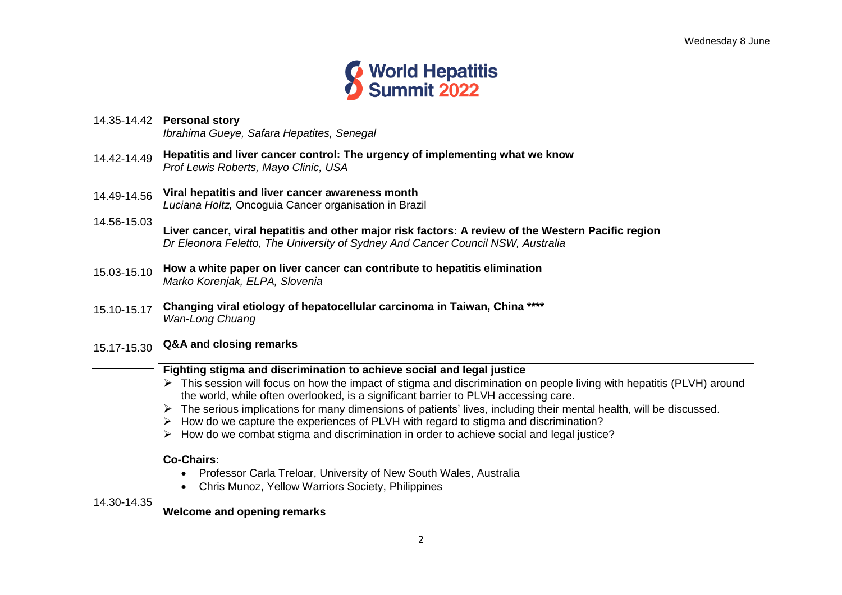

| 14.35-14.42 | <b>Personal story</b><br>Ibrahima Gueye, Safara Hepatites, Senegal                                                                                                                                                                                                                                                                                                                                                                                                                                                                                                                                       |
|-------------|----------------------------------------------------------------------------------------------------------------------------------------------------------------------------------------------------------------------------------------------------------------------------------------------------------------------------------------------------------------------------------------------------------------------------------------------------------------------------------------------------------------------------------------------------------------------------------------------------------|
| 14.42-14.49 | Hepatitis and liver cancer control: The urgency of implementing what we know<br>Prof Lewis Roberts, Mayo Clinic, USA                                                                                                                                                                                                                                                                                                                                                                                                                                                                                     |
| 14.49-14.56 | Viral hepatitis and liver cancer awareness month<br>Luciana Holtz, Oncoguia Cancer organisation in Brazil                                                                                                                                                                                                                                                                                                                                                                                                                                                                                                |
| 14.56-15.03 | Liver cancer, viral hepatitis and other major risk factors: A review of the Western Pacific region<br>Dr Eleonora Feletto, The University of Sydney And Cancer Council NSW, Australia                                                                                                                                                                                                                                                                                                                                                                                                                    |
| 15.03-15.10 | How a white paper on liver cancer can contribute to hepatitis elimination<br>Marko Korenjak, ELPA, Slovenia                                                                                                                                                                                                                                                                                                                                                                                                                                                                                              |
| 15.10-15.17 | Changing viral etiology of hepatocellular carcinoma in Taiwan, China ****<br>Wan-Long Chuang                                                                                                                                                                                                                                                                                                                                                                                                                                                                                                             |
| 15.17-15.30 | Q&A and closing remarks                                                                                                                                                                                                                                                                                                                                                                                                                                                                                                                                                                                  |
|             | Fighting stigma and discrimination to achieve social and legal justice<br>This session will focus on how the impact of stigma and discrimination on people living with hepatitis (PLVH) around<br>the world, while often overlooked, is a significant barrier to PLVH accessing care.<br>The serious implications for many dimensions of patients' lives, including their mental health, will be discussed.<br>How do we capture the experiences of PLVH with regard to stigma and discrimination?<br>➤<br>How do we combat stigma and discrimination in order to achieve social and legal justice?<br>➤ |
|             | <b>Co-Chairs:</b><br>Professor Carla Treloar, University of New South Wales, Australia<br>$\bullet$<br>Chris Munoz, Yellow Warriors Society, Philippines                                                                                                                                                                                                                                                                                                                                                                                                                                                 |
| 14.30-14.35 | <b>Welcome and opening remarks</b>                                                                                                                                                                                                                                                                                                                                                                                                                                                                                                                                                                       |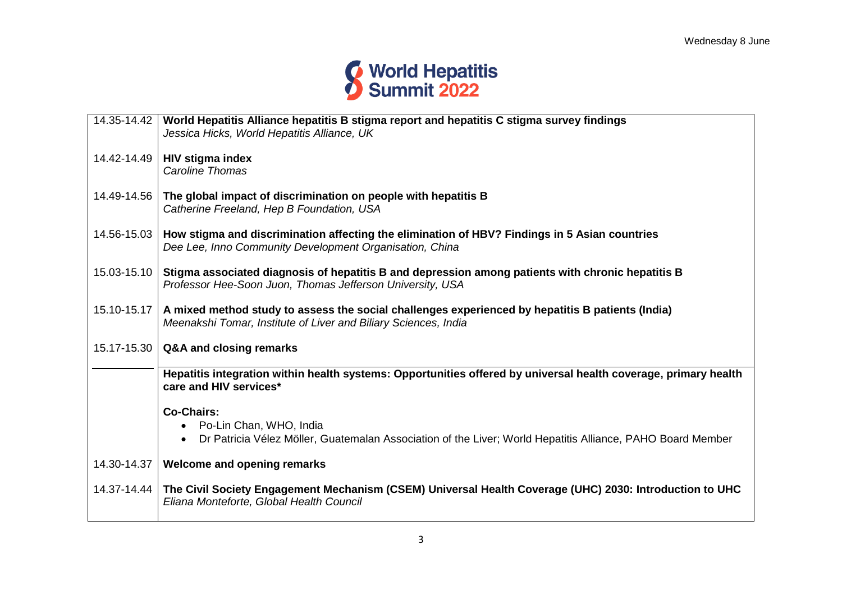

| 14.35-14.42     | World Hepatitis Alliance hepatitis B stigma report and hepatitis C stigma survey findings<br>Jessica Hicks, World Hepatitis Alliance, UK                                          |
|-----------------|-----------------------------------------------------------------------------------------------------------------------------------------------------------------------------------|
|                 | 14.42-14.49   HIV stigma index<br><b>Caroline Thomas</b>                                                                                                                          |
| 14.49-14.56     | The global impact of discrimination on people with hepatitis B<br>Catherine Freeland, Hep B Foundation, USA                                                                       |
|                 | 14.56-15.03   How stigma and discrimination affecting the elimination of HBV? Findings in 5 Asian countries<br>Dee Lee, Inno Community Development Organisation, China            |
| $15.03 - 15.10$ | Stigma associated diagnosis of hepatitis B and depression among patients with chronic hepatitis B<br>Professor Hee-Soon Juon, Thomas Jefferson University, USA                    |
|                 | 15.10-15.17   A mixed method study to assess the social challenges experienced by hepatitis B patients (India)<br>Meenakshi Tomar, Institute of Liver and Biliary Sciences, India |
|                 | 15.17-15.30   Q&A and closing remarks                                                                                                                                             |
|                 | Hepatitis integration within health systems: Opportunities offered by universal health coverage, primary health<br>care and HIV services*                                         |
|                 | <b>Co-Chairs:</b><br>Po-Lin Chan, WHO, India<br>$\bullet$<br>Dr Patricia Vélez Möller, Guatemalan Association of the Liver; World Hepatitis Alliance, PAHO Board Member           |
| 14.30-14.37     | Welcome and opening remarks                                                                                                                                                       |
|                 | 14.37-14.44   The Civil Society Engagement Mechanism (CSEM) Universal Health Coverage (UHC) 2030: Introduction to UHC<br>Eliana Monteforte, Global Health Council                 |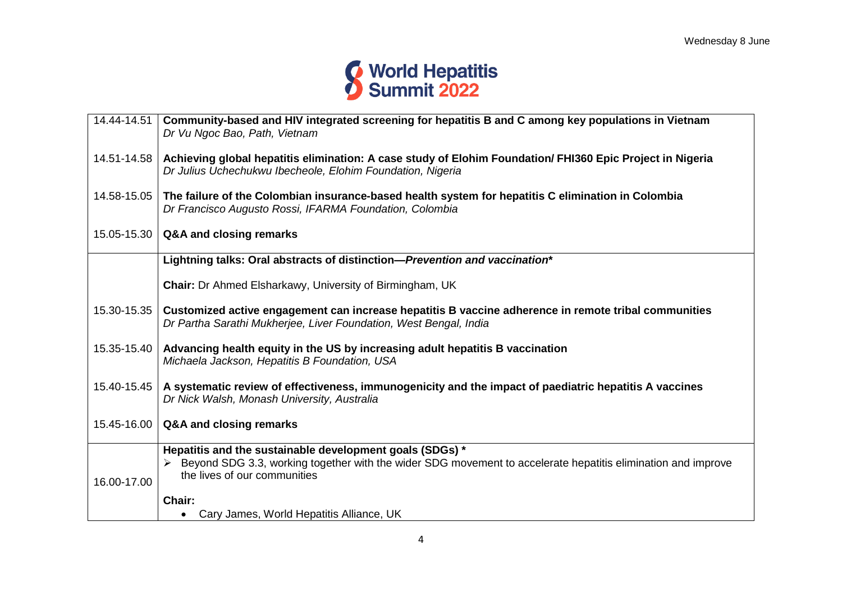

| 14.44-14.51 | Community-based and HIV integrated screening for hepatitis B and C among key populations in Vietnam<br>Dr Vu Ngoc Bao, Path, Vietnam                                                                     |
|-------------|----------------------------------------------------------------------------------------------------------------------------------------------------------------------------------------------------------|
|             | 14.51-14.58   Achieving global hepatitis elimination: A case study of Elohim Foundation/ FHI360 Epic Project in Nigeria<br>Dr Julius Uchechukwu Ibecheole, Elohim Foundation, Nigeria                    |
| 14.58-15.05 | The failure of the Colombian insurance-based health system for hepatitis C elimination in Colombia<br>Dr Francisco Augusto Rossi, IFARMA Foundation, Colombia                                            |
| 15.05-15.30 | Q&A and closing remarks                                                                                                                                                                                  |
|             | Lightning talks: Oral abstracts of distinction-Prevention and vaccination*                                                                                                                               |
|             | <b>Chair:</b> Dr Ahmed Elsharkawy, University of Birmingham, UK                                                                                                                                          |
| 15.30-15.35 | Customized active engagement can increase hepatitis B vaccine adherence in remote tribal communities<br>Dr Partha Sarathi Mukherjee, Liver Foundation, West Bengal, India                                |
| 15.35-15.40 | Advancing health equity in the US by increasing adult hepatitis B vaccination<br>Michaela Jackson, Hepatitis B Foundation, USA                                                                           |
| 15.40-15.45 | A systematic review of effectiveness, immunogenicity and the impact of paediatric hepatitis A vaccines<br>Dr Nick Walsh, Monash University, Australia                                                    |
| 15.45-16.00 | Q&A and closing remarks                                                                                                                                                                                  |
| 16.00-17.00 | Hepatitis and the sustainable development goals (SDGs) *<br>Beyond SDG 3.3, working together with the wider SDG movement to accelerate hepatitis elimination and improve<br>the lives of our communities |
|             | Chair:                                                                                                                                                                                                   |
|             | Cary James, World Hepatitis Alliance, UK                                                                                                                                                                 |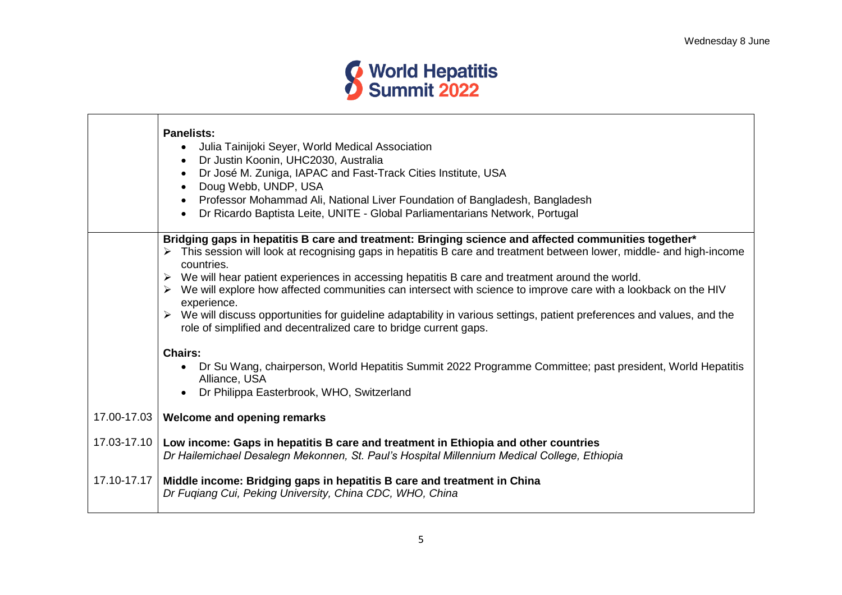

|             | <b>Panelists:</b><br>Julia Tainijoki Seyer, World Medical Association<br>$\bullet$<br>Dr Justin Koonin, UHC2030, Australia<br>$\bullet$<br>Dr José M. Zuniga, IAPAC and Fast-Track Cities Institute, USA<br>$\bullet$<br>Doug Webb, UNDP, USA<br>$\bullet$<br>Professor Mohammad Ali, National Liver Foundation of Bangladesh, Bangladesh<br>$\bullet$<br>Dr Ricardo Baptista Leite, UNITE - Global Parliamentarians Network, Portugal                                                                                                                                                                                                                                                                                                                                                                                                                                                   |
|-------------|------------------------------------------------------------------------------------------------------------------------------------------------------------------------------------------------------------------------------------------------------------------------------------------------------------------------------------------------------------------------------------------------------------------------------------------------------------------------------------------------------------------------------------------------------------------------------------------------------------------------------------------------------------------------------------------------------------------------------------------------------------------------------------------------------------------------------------------------------------------------------------------|
|             | Bridging gaps in hepatitis B care and treatment: Bringing science and affected communities together*<br>> This session will look at recognising gaps in hepatitis B care and treatment between lower, middle- and high-income<br>countries.<br>We will hear patient experiences in accessing hepatitis B care and treatment around the world.<br>We will explore how affected communities can intersect with science to improve care with a lookback on the HIV<br>experience.<br>> We will discuss opportunities for guideline adaptability in various settings, patient preferences and values, and the<br>role of simplified and decentralized care to bridge current gaps.<br><b>Chairs:</b><br>Dr Su Wang, chairperson, World Hepatitis Summit 2022 Programme Committee; past president, World Hepatitis<br>Alliance, USA<br>Dr Philippa Easterbrook, WHO, Switzerland<br>$\bullet$ |
| 17.00-17.03 | Welcome and opening remarks                                                                                                                                                                                                                                                                                                                                                                                                                                                                                                                                                                                                                                                                                                                                                                                                                                                              |
| 17.03-17.10 | Low income: Gaps in hepatitis B care and treatment in Ethiopia and other countries<br>Dr Hailemichael Desalegn Mekonnen, St. Paul's Hospital Millennium Medical College, Ethiopia                                                                                                                                                                                                                                                                                                                                                                                                                                                                                                                                                                                                                                                                                                        |
| 17.10-17.17 | Middle income: Bridging gaps in hepatitis B care and treatment in China<br>Dr Fuqiang Cui, Peking University, China CDC, WHO, China                                                                                                                                                                                                                                                                                                                                                                                                                                                                                                                                                                                                                                                                                                                                                      |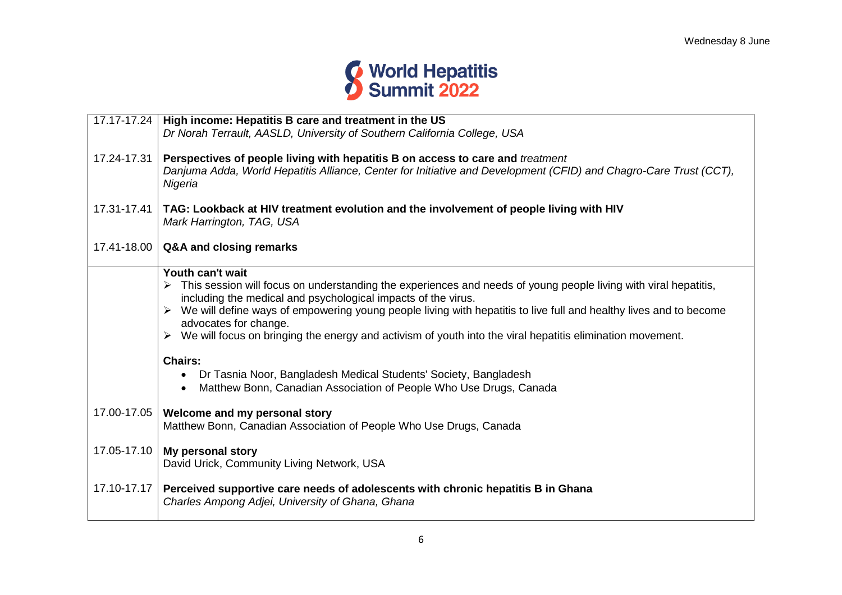

| 17.17-17.24 | High income: Hepatitis B care and treatment in the US                                                                                      |
|-------------|--------------------------------------------------------------------------------------------------------------------------------------------|
|             | Dr Norah Terrault, AASLD, University of Southern California College, USA                                                                   |
|             |                                                                                                                                            |
| 17.24-17.31 | Perspectives of people living with hepatitis B on access to care and <i>treatment</i>                                                      |
|             | Danjuma Adda, World Hepatitis Alliance, Center for Initiative and Development (CFID) and Chagro-Care Trust (CCT),                          |
|             | Nigeria                                                                                                                                    |
| 17.31-17.41 | TAG: Lookback at HIV treatment evolution and the involvement of people living with HIV                                                     |
|             | Mark Harrington, TAG, USA                                                                                                                  |
|             |                                                                                                                                            |
| 17.41-18.00 | Q&A and closing remarks                                                                                                                    |
|             | Youth can't wait                                                                                                                           |
|             | > This session will focus on understanding the experiences and needs of young people living with viral hepatitis,                          |
|             | including the medical and psychological impacts of the virus.                                                                              |
|             | We will define ways of empowering young people living with hepatitis to live full and healthy lives and to become<br>$\blacktriangleright$ |
|             | advocates for change.                                                                                                                      |
|             | We will focus on bringing the energy and activism of youth into the viral hepatitis elimination movement.<br>≻                             |
|             | <b>Chairs:</b>                                                                                                                             |
|             | Dr Tasnia Noor, Bangladesh Medical Students' Society, Bangladesh<br>$\bullet$                                                              |
|             | Matthew Bonn, Canadian Association of People Who Use Drugs, Canada                                                                         |
|             |                                                                                                                                            |
| 17.00-17.05 | Welcome and my personal story                                                                                                              |
|             | Matthew Bonn, Canadian Association of People Who Use Drugs, Canada                                                                         |
| 17.05-17.10 |                                                                                                                                            |
|             | My personal story<br>David Urick, Community Living Network, USA                                                                            |
|             |                                                                                                                                            |
| 17.10-17.17 | Perceived supportive care needs of adolescents with chronic hepatitis B in Ghana                                                           |
|             | Charles Ampong Adjei, University of Ghana, Ghana                                                                                           |
|             |                                                                                                                                            |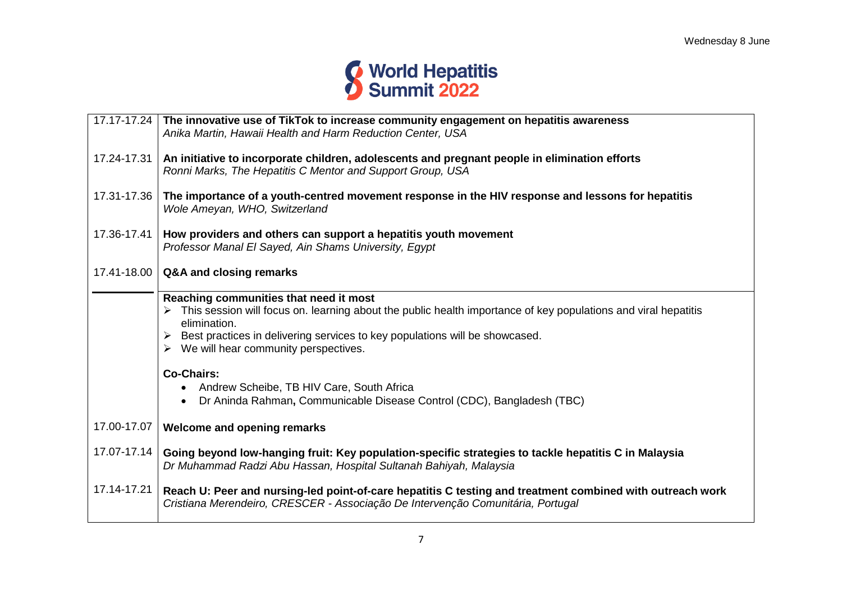

|             | 17.17-17.24 The innovative use of TikTok to increase community engagement on hepatitis awareness<br>Anika Martin, Hawaii Health and Harm Reduction Center, USA                                                                                                                                  |
|-------------|-------------------------------------------------------------------------------------------------------------------------------------------------------------------------------------------------------------------------------------------------------------------------------------------------|
| 17.24-17.31 | An initiative to incorporate children, adolescents and pregnant people in elimination efforts<br>Ronni Marks, The Hepatitis C Mentor and Support Group, USA                                                                                                                                     |
| 17.31-17.36 | The importance of a youth-centred movement response in the HIV response and lessons for hepatitis<br>Wole Ameyan, WHO, Switzerland                                                                                                                                                              |
| 17.36-17.41 | How providers and others can support a hepatitis youth movement<br>Professor Manal El Sayed, Ain Shams University, Egypt                                                                                                                                                                        |
| 17.41-18.00 | Q&A and closing remarks                                                                                                                                                                                                                                                                         |
|             | Reaching communities that need it most<br>This session will focus on. learning about the public health importance of key populations and viral hepatitis<br>elimination.<br>Best practices in delivering services to key populations will be showcased.<br>We will hear community perspectives. |
|             | <b>Co-Chairs:</b><br>Andrew Scheibe, TB HIV Care, South Africa<br>$\bullet$<br>Dr Aninda Rahman, Communicable Disease Control (CDC), Bangladesh (TBC)                                                                                                                                           |
| 17.00-17.07 | <b>Welcome and opening remarks</b>                                                                                                                                                                                                                                                              |
| 17.07-17.14 | Going beyond low-hanging fruit: Key population-specific strategies to tackle hepatitis C in Malaysia<br>Dr Muhammad Radzi Abu Hassan, Hospital Sultanah Bahiyah, Malaysia                                                                                                                       |
| 17.14-17.21 | Reach U: Peer and nursing-led point-of-care hepatitis C testing and treatment combined with outreach work<br>Cristiana Merendeiro, CRESCER - Associação De Intervenção Comunitária, Portugal                                                                                                    |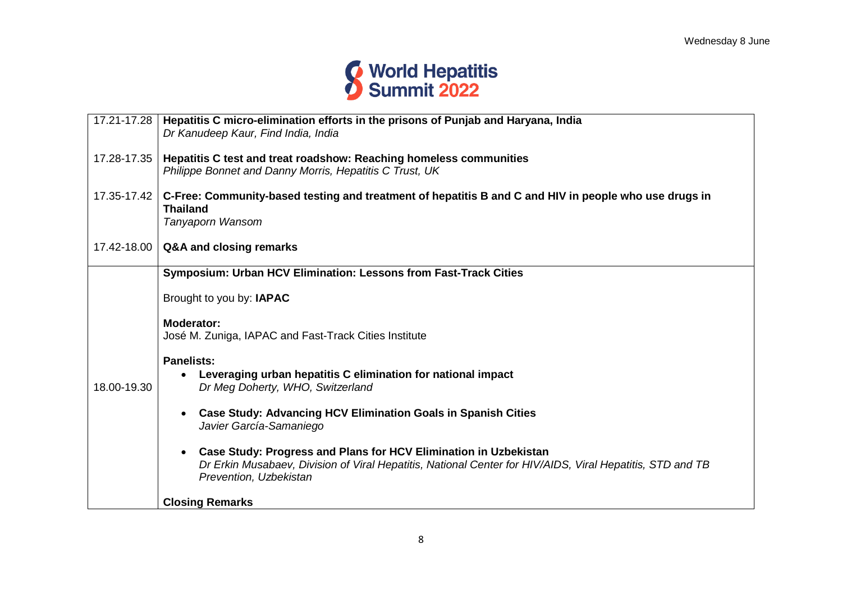

| 17.21-17.28 | Hepatitis C micro-elimination efforts in the prisons of Punjab and Haryana, India<br>Dr Kanudeep Kaur, Find India, India                                                                                       |
|-------------|----------------------------------------------------------------------------------------------------------------------------------------------------------------------------------------------------------------|
| 17.28-17.35 | Hepatitis C test and treat roadshow: Reaching homeless communities<br>Philippe Bonnet and Danny Morris, Hepatitis C Trust, UK                                                                                  |
| 17.35-17.42 | C-Free: Community-based testing and treatment of hepatitis B and C and HIV in people who use drugs in<br><b>Thailand</b><br>Tanyaporn Wansom                                                                   |
| 17.42-18.00 | Q&A and closing remarks                                                                                                                                                                                        |
|             | Symposium: Urban HCV Elimination: Lessons from Fast-Track Cities                                                                                                                                               |
|             | Brought to you by: IAPAC                                                                                                                                                                                       |
|             | <b>Moderator:</b><br>José M. Zuniga, IAPAC and Fast-Track Cities Institute                                                                                                                                     |
|             | <b>Panelists:</b>                                                                                                                                                                                              |
| 18.00-19.30 | Leveraging urban hepatitis C elimination for national impact<br>Dr Meg Doherty, WHO, Switzerland                                                                                                               |
|             | <b>Case Study: Advancing HCV Elimination Goals in Spanish Cities</b><br>Javier García-Samaniego                                                                                                                |
|             | <b>Case Study: Progress and Plans for HCV Elimination in Uzbekistan</b><br>Dr Erkin Musabaev, Division of Viral Hepatitis, National Center for HIV/AIDS, Viral Hepatitis, STD and TB<br>Prevention, Uzbekistan |
|             | <b>Closing Remarks</b>                                                                                                                                                                                         |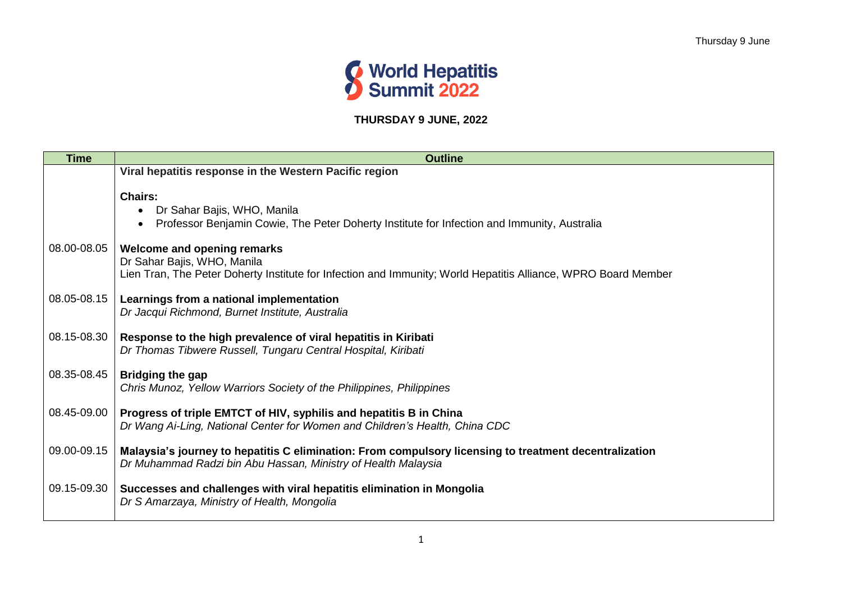

# **THURSDAY 9 JUNE, 2022**

| <b>Time</b> | <b>Outline</b>                                                                                                                                                               |
|-------------|------------------------------------------------------------------------------------------------------------------------------------------------------------------------------|
|             | Viral hepatitis response in the Western Pacific region                                                                                                                       |
|             | <b>Chairs:</b><br>Dr Sahar Bajis, WHO, Manila<br>Professor Benjamin Cowie, The Peter Doherty Institute for Infection and Immunity, Australia                                 |
| 08.00-08.05 | Welcome and opening remarks<br>Dr Sahar Bajis, WHO, Manila<br>Lien Tran, The Peter Doherty Institute for Infection and Immunity; World Hepatitis Alliance, WPRO Board Member |
| 08.05-08.15 | Learnings from a national implementation<br>Dr Jacqui Richmond, Burnet Institute, Australia                                                                                  |
| 08.15-08.30 | Response to the high prevalence of viral hepatitis in Kiribati<br>Dr Thomas Tibwere Russell, Tungaru Central Hospital, Kiribati                                              |
| 08.35-08.45 | <b>Bridging the gap</b><br>Chris Munoz, Yellow Warriors Society of the Philippines, Philippines                                                                              |
| 08.45-09.00 | Progress of triple EMTCT of HIV, syphilis and hepatitis B in China<br>Dr Wang Ai-Ling, National Center for Women and Children's Health, China CDC                            |
| 09.00-09.15 | Malaysia's journey to hepatitis C elimination: From compulsory licensing to treatment decentralization<br>Dr Muhammad Radzi bin Abu Hassan, Ministry of Health Malaysia      |
| 09.15-09.30 | Successes and challenges with viral hepatitis elimination in Mongolia<br>Dr S Amarzaya, Ministry of Health, Mongolia                                                         |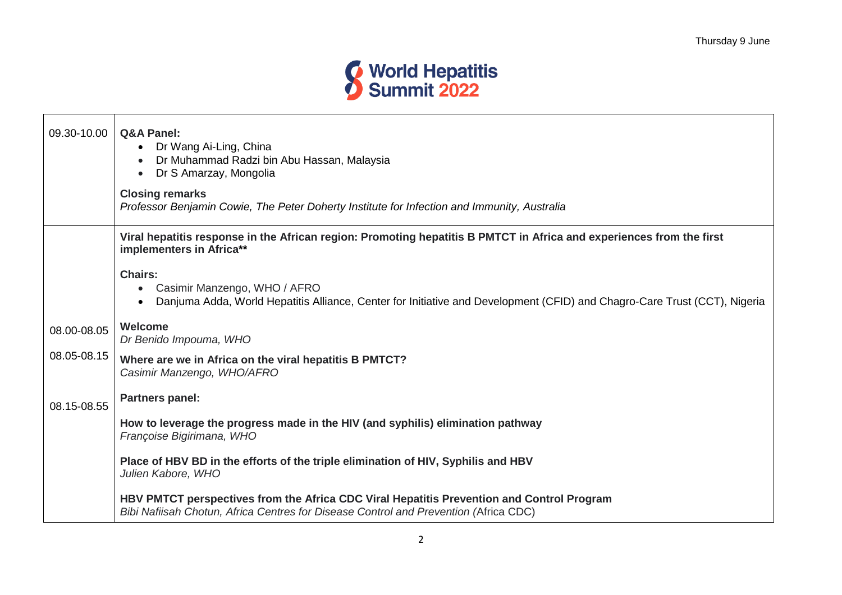

| 09.30-10.00 | <b>Q&amp;A Panel:</b><br>• Dr Wang Ai-Ling, China<br>Dr Muhammad Radzi bin Abu Hassan, Malaysia<br>Dr S Amarzay, Mongolia<br>$\bullet$<br><b>Closing remarks</b><br>Professor Benjamin Cowie, The Peter Doherty Institute for Infection and Immunity, Australia |
|-------------|-----------------------------------------------------------------------------------------------------------------------------------------------------------------------------------------------------------------------------------------------------------------|
|             | Viral hepatitis response in the African region: Promoting hepatitis B PMTCT in Africa and experiences from the first<br>implementers in Africa**                                                                                                                |
|             | <b>Chairs:</b><br>• Casimir Manzengo, WHO / AFRO<br>Danjuma Adda, World Hepatitis Alliance, Center for Initiative and Development (CFID) and Chagro-Care Trust (CCT), Nigeria                                                                                   |
| 08.00-08.05 | Welcome<br>Dr Benido Impouma, WHO                                                                                                                                                                                                                               |
| 08.05-08.15 | Where are we in Africa on the viral hepatitis B PMTCT?<br>Casimir Manzengo, WHO/AFRO                                                                                                                                                                            |
| 08.15-08.55 | <b>Partners panel:</b>                                                                                                                                                                                                                                          |
|             | How to leverage the progress made in the HIV (and syphilis) elimination pathway<br>Françoise Bigirimana, WHO                                                                                                                                                    |
|             | Place of HBV BD in the efforts of the triple elimination of HIV, Syphilis and HBV<br>Julien Kabore, WHO                                                                                                                                                         |
|             | HBV PMTCT perspectives from the Africa CDC Viral Hepatitis Prevention and Control Program<br>Bibi Nafiisah Chotun, Africa Centres for Disease Control and Prevention (Africa CDC)                                                                               |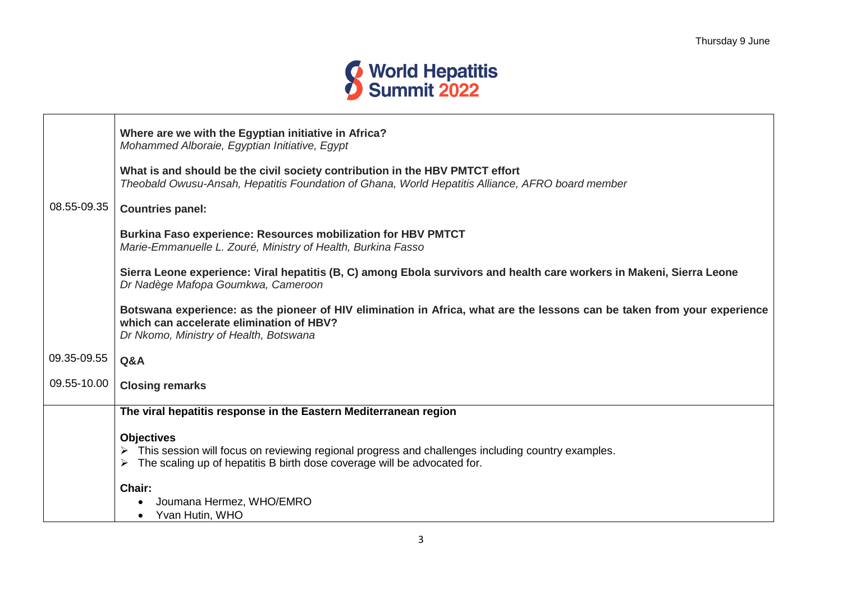

|             | Where are we with the Egyptian initiative in Africa?<br>Mohammed Alboraie, Egyptian Initiative, Egypt                                                                                                          |
|-------------|----------------------------------------------------------------------------------------------------------------------------------------------------------------------------------------------------------------|
|             | What is and should be the civil society contribution in the HBV PMTCT effort<br>Theobald Owusu-Ansah, Hepatitis Foundation of Ghana, World Hepatitis Alliance, AFRO board member                               |
| 08.55-09.35 | <b>Countries panel:</b>                                                                                                                                                                                        |
|             | <b>Burkina Faso experience: Resources mobilization for HBV PMTCT</b><br>Marie-Emmanuelle L. Zouré, Ministry of Health, Burkina Fasso                                                                           |
|             | Sierra Leone experience: Viral hepatitis (B, C) among Ebola survivors and health care workers in Makeni, Sierra Leone<br>Dr Nadège Mafopa Goumkwa, Cameroon                                                    |
|             | Botswana experience: as the pioneer of HIV elimination in Africa, what are the lessons can be taken from your experience<br>which can accelerate elimination of HBV?<br>Dr Nkomo, Ministry of Health, Botswana |
| 09.35-09.55 | Q&A                                                                                                                                                                                                            |
| 09.55-10.00 | <b>Closing remarks</b>                                                                                                                                                                                         |
|             | The viral hepatitis response in the Eastern Mediterranean region                                                                                                                                               |
|             | <b>Objectives</b>                                                                                                                                                                                              |
|             | > This session will focus on reviewing regional progress and challenges including country examples.                                                                                                            |
|             | The scaling up of hepatitis B birth dose coverage will be advocated for.                                                                                                                                       |
|             | Chair:                                                                                                                                                                                                         |
|             | Joumana Hermez, WHO/EMRO                                                                                                                                                                                       |
|             | Yvan Hutin, WHO                                                                                                                                                                                                |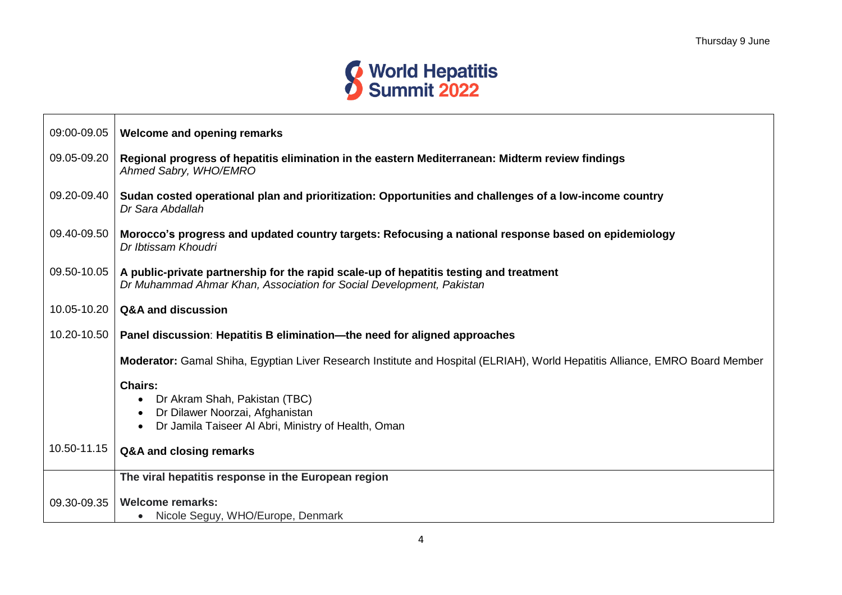

| 09:00-09.05 | Welcome and opening remarks                                                                                                                                    |
|-------------|----------------------------------------------------------------------------------------------------------------------------------------------------------------|
| 09.05-09.20 | Regional progress of hepatitis elimination in the eastern Mediterranean: Midterm review findings<br>Ahmed Sabry, WHO/EMRO                                      |
| 09.20-09.40 | Sudan costed operational plan and prioritization: Opportunities and challenges of a low-income country<br>Dr Sara Abdallah                                     |
| 09.40-09.50 | Morocco's progress and updated country targets: Refocusing a national response based on epidemiology<br>Dr Ibtissam Khoudri                                    |
| 09.50-10.05 | A public-private partnership for the rapid scale-up of hepatitis testing and treatment<br>Dr Muhammad Ahmar Khan, Association for Social Development, Pakistan |
| 10.05-10.20 | Q&A and discussion                                                                                                                                             |
| 10.20-10.50 | Panel discussion: Hepatitis B elimination—the need for aligned approaches                                                                                      |
|             | Moderator: Gamal Shiha, Egyptian Liver Research Institute and Hospital (ELRIAH), World Hepatitis Alliance, EMRO Board Member                                   |
|             | <b>Chairs:</b>                                                                                                                                                 |
|             | Dr Akram Shah, Pakistan (TBC)<br>Dr Dilawer Noorzai, Afghanistan                                                                                               |
|             | Dr Jamila Taiseer Al Abri, Ministry of Health, Oman                                                                                                            |
| 10.50-11.15 |                                                                                                                                                                |
|             | Q&A and closing remarks                                                                                                                                        |
|             | The viral hepatitis response in the European region                                                                                                            |
| 09.30-09.35 | <b>Welcome remarks:</b>                                                                                                                                        |
|             | Nicole Seguy, WHO/Europe, Denmark                                                                                                                              |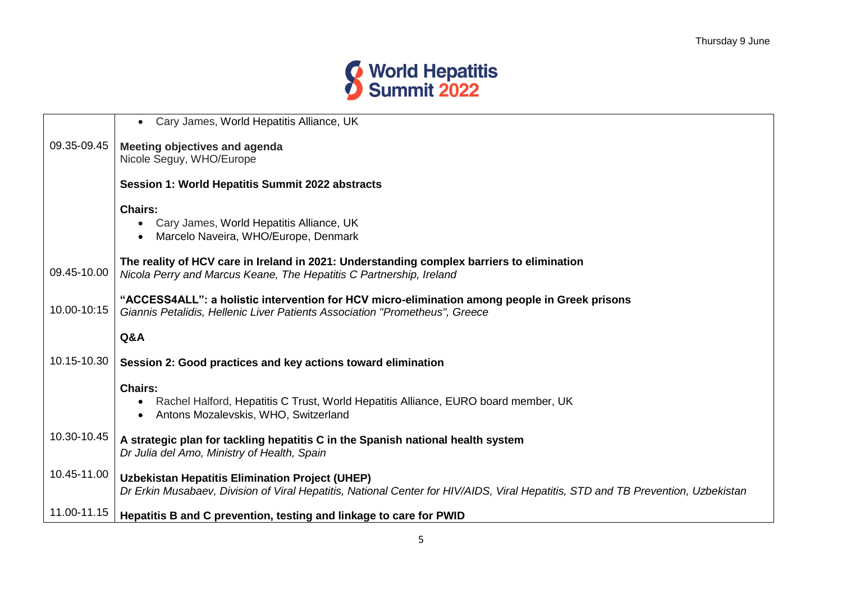

|             | Cary James, World Hepatitis Alliance, UK<br>$\bullet$                                                                            |
|-------------|----------------------------------------------------------------------------------------------------------------------------------|
|             |                                                                                                                                  |
| 09.35-09.45 | <b>Meeting objectives and agenda</b>                                                                                             |
|             | Nicole Seguy, WHO/Europe                                                                                                         |
|             | Session 1: World Hepatitis Summit 2022 abstracts                                                                                 |
|             | <b>Chairs:</b>                                                                                                                   |
|             | Cary James, World Hepatitis Alliance, UK                                                                                         |
|             | Marcelo Naveira, WHO/Europe, Denmark                                                                                             |
|             |                                                                                                                                  |
|             | The reality of HCV care in Ireland in 2021: Understanding complex barriers to elimination                                        |
| 09.45-10.00 | Nicola Perry and Marcus Keane, The Hepatitis C Partnership, Ireland                                                              |
|             | "ACCESS4ALL": a holistic intervention for HCV micro-elimination among people in Greek prisons                                    |
| 10.00-10:15 | Giannis Petalidis, Hellenic Liver Patients Association "Prometheus", Greece                                                      |
|             |                                                                                                                                  |
|             | Q&A                                                                                                                              |
| 10.15-10.30 | Session 2: Good practices and key actions toward elimination                                                                     |
|             | <b>Chairs:</b>                                                                                                                   |
|             | Rachel Halford, Hepatitis C Trust, World Hepatitis Alliance, EURO board member, UK                                               |
|             | Antons Mozalevskis, WHO, Switzerland                                                                                             |
|             |                                                                                                                                  |
| 10.30-10.45 | A strategic plan for tackling hepatitis C in the Spanish national health system                                                  |
|             | Dr Julia del Amo, Ministry of Health, Spain                                                                                      |
| 10.45-11.00 |                                                                                                                                  |
|             | Uzbekistan Hepatitis Elimination Project (UHEP)                                                                                  |
|             | Dr Erkin Musabaev, Division of Viral Hepatitis, National Center for HIV/AIDS, Viral Hepatitis, STD and TB Prevention, Uzbekistan |
| 11.00-11.15 | Hepatitis B and C prevention, testing and linkage to care for PWID                                                               |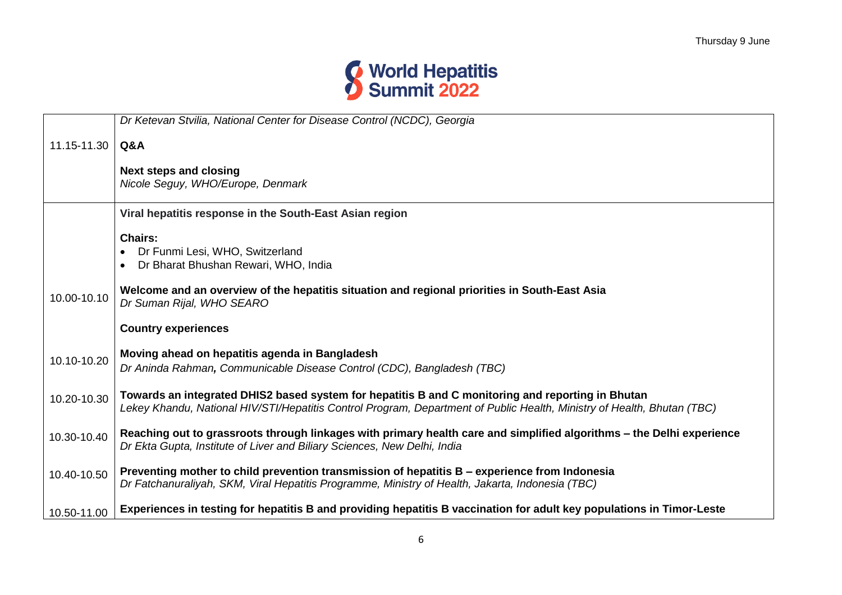

|             | Dr Ketevan Stvilia, National Center for Disease Control (NCDC), Georgia                                                                                                                                                      |
|-------------|------------------------------------------------------------------------------------------------------------------------------------------------------------------------------------------------------------------------------|
| 11.15-11.30 | Q&A                                                                                                                                                                                                                          |
|             | <b>Next steps and closing</b><br>Nicole Seguy, WHO/Europe, Denmark                                                                                                                                                           |
|             | Viral hepatitis response in the South-East Asian region                                                                                                                                                                      |
|             | <b>Chairs:</b><br>Dr Funmi Lesi, WHO, Switzerland<br>Dr Bharat Bhushan Rewari, WHO, India                                                                                                                                    |
| 10.00-10.10 | Welcome and an overview of the hepatitis situation and regional priorities in South-East Asia<br>Dr Suman Rijal, WHO SEARO                                                                                                   |
|             | <b>Country experiences</b>                                                                                                                                                                                                   |
| 10.10-10.20 | Moving ahead on hepatitis agenda in Bangladesh<br>Dr Aninda Rahman, Communicable Disease Control (CDC), Bangladesh (TBC)                                                                                                     |
| 10.20-10.30 | Towards an integrated DHIS2 based system for hepatitis B and C monitoring and reporting in Bhutan<br>Lekey Khandu, National HIV/STI/Hepatitis Control Program, Department of Public Health, Ministry of Health, Bhutan (TBC) |
| 10.30-10.40 | Reaching out to grassroots through linkages with primary health care and simplified algorithms – the Delhi experience<br>Dr Ekta Gupta, Institute of Liver and Biliary Sciences, New Delhi, India                            |
| 10.40-10.50 | Preventing mother to child prevention transmission of hepatitis B – experience from Indonesia<br>Dr Fatchanuraliyah, SKM, Viral Hepatitis Programme, Ministry of Health, Jakarta, Indonesia (TBC)                            |
| 10.50-11.00 | Experiences in testing for hepatitis B and providing hepatitis B vaccination for adult key populations in Timor-Leste                                                                                                        |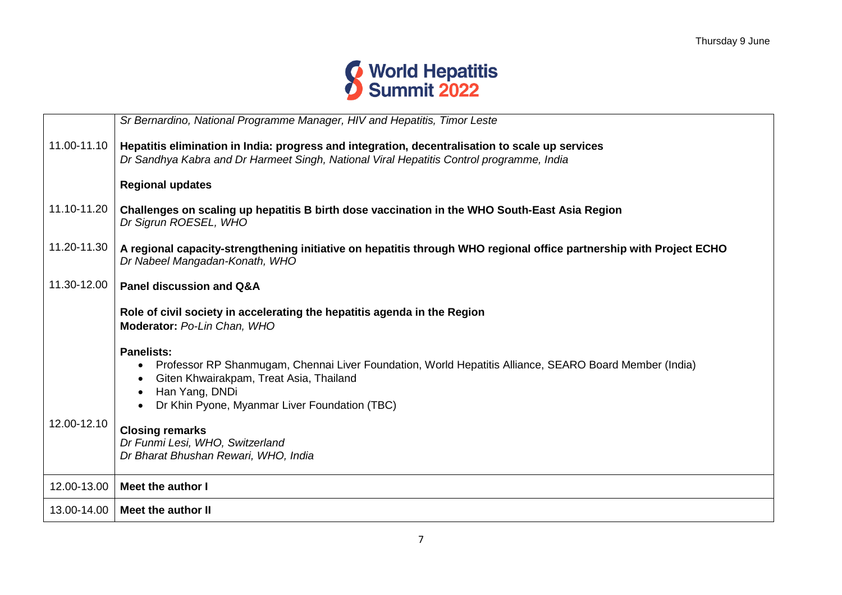

|             | Sr Bernardino, National Programme Manager, HIV and Hepatitis, Timor Leste                                                                             |
|-------------|-------------------------------------------------------------------------------------------------------------------------------------------------------|
| 11.00-11.10 | Hepatitis elimination in India: progress and integration, decentralisation to scale up services                                                       |
|             | Dr Sandhya Kabra and Dr Harmeet Singh, National Viral Hepatitis Control programme, India                                                              |
|             | <b>Regional updates</b>                                                                                                                               |
| 11.10-11.20 | Challenges on scaling up hepatitis B birth dose vaccination in the WHO South-East Asia Region<br>Dr Sigrun ROESEL, WHO                                |
| 11.20-11.30 | A regional capacity-strengthening initiative on hepatitis through WHO regional office partnership with Project ECHO<br>Dr Nabeel Mangadan-Konath, WHO |
| 11.30-12.00 | <b>Panel discussion and Q&amp;A</b>                                                                                                                   |
|             | Role of civil society in accelerating the hepatitis agenda in the Region<br>Moderator: Po-Lin Chan, WHO                                               |
|             | <b>Panelists:</b>                                                                                                                                     |
|             | Professor RP Shanmugam, Chennai Liver Foundation, World Hepatitis Alliance, SEARO Board Member (India)                                                |
|             | Giten Khwairakpam, Treat Asia, Thailand<br>Han Yang, DNDi                                                                                             |
|             | Dr Khin Pyone, Myanmar Liver Foundation (TBC)                                                                                                         |
| 12.00-12.10 | <b>Closing remarks</b>                                                                                                                                |
|             | Dr Funmi Lesi, WHO, Switzerland                                                                                                                       |
|             | Dr Bharat Bhushan Rewari, WHO, India                                                                                                                  |
| 12.00-13.00 | Meet the author I                                                                                                                                     |
|             | 13.00-14.00   Meet the author II                                                                                                                      |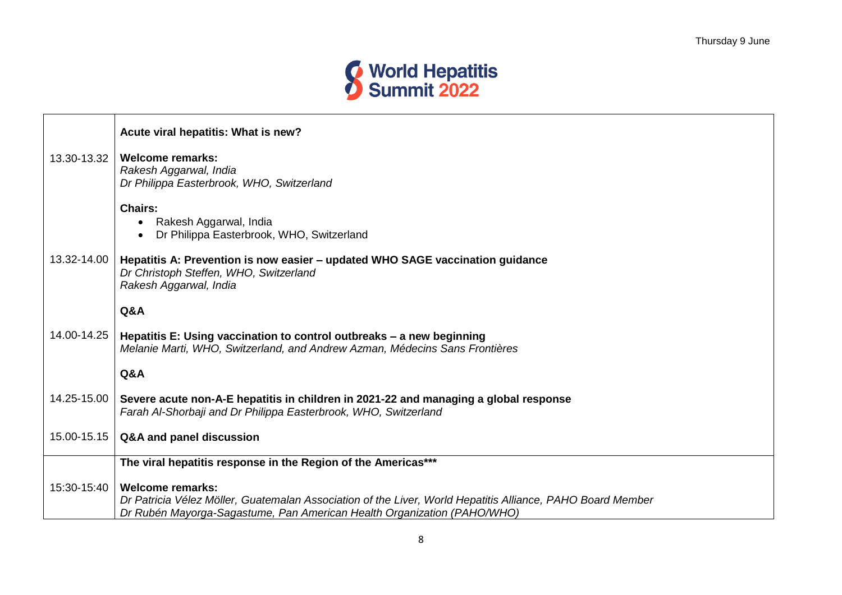

|             | Acute viral hepatitis: What is new?                                                                                                                                                                              |
|-------------|------------------------------------------------------------------------------------------------------------------------------------------------------------------------------------------------------------------|
| 13.30-13.32 | <b>Welcome remarks:</b><br>Rakesh Aggarwal, India<br>Dr Philippa Easterbrook, WHO, Switzerland                                                                                                                   |
|             | <b>Chairs:</b><br>• Rakesh Aggarwal, India<br>Dr Philippa Easterbrook, WHO, Switzerland                                                                                                                          |
| 13.32-14.00 | Hepatitis A: Prevention is now easier - updated WHO SAGE vaccination guidance<br>Dr Christoph Steffen, WHO, Switzerland<br>Rakesh Aggarwal, India                                                                |
|             | <b>Q&amp;A</b>                                                                                                                                                                                                   |
| 14.00-14.25 | Hepatitis E: Using vaccination to control outbreaks - a new beginning<br>Melanie Marti, WHO, Switzerland, and Andrew Azman, Médecins Sans Frontières                                                             |
|             | Q&A                                                                                                                                                                                                              |
| 14.25-15.00 | Severe acute non-A-E hepatitis in children in 2021-22 and managing a global response<br>Farah Al-Shorbaji and Dr Philippa Easterbrook, WHO, Switzerland                                                          |
| 15.00-15.15 | Q&A and panel discussion                                                                                                                                                                                         |
|             | The viral hepatitis response in the Region of the Americas***                                                                                                                                                    |
| 15:30-15:40 | <b>Welcome remarks:</b><br>Dr Patricia Vélez Möller, Guatemalan Association of the Liver, World Hepatitis Alliance, PAHO Board Member<br>Dr Rubén Mayorga-Sagastume, Pan American Health Organization (PAHO/WHO) |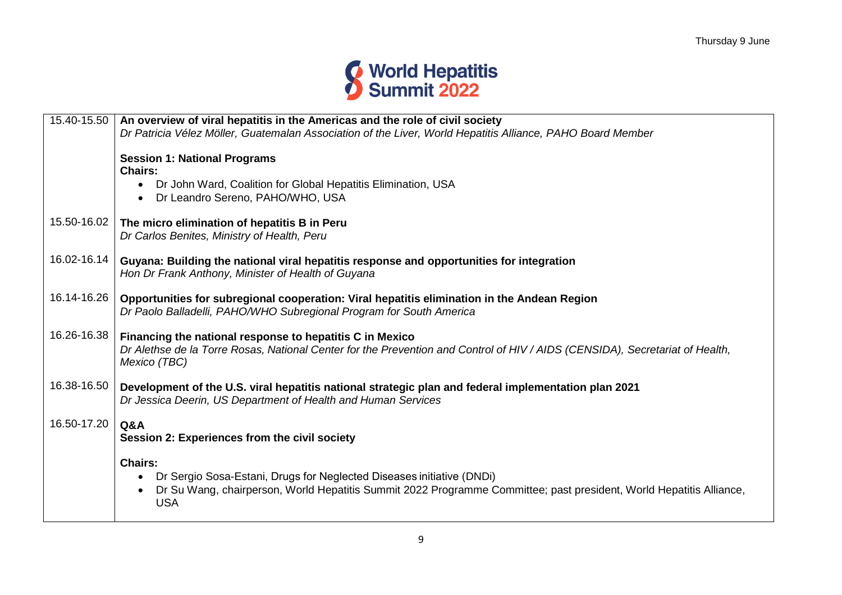

| 15.40-15.50 | An overview of viral hepatitis in the Americas and the role of civil society<br>Dr Patricia Vélez Möller, Guatemalan Association of the Liver, World Hepatitis Alliance, PAHO Board Member                                     |
|-------------|--------------------------------------------------------------------------------------------------------------------------------------------------------------------------------------------------------------------------------|
|             | <b>Session 1: National Programs</b>                                                                                                                                                                                            |
|             | <b>Chairs:</b><br>• Dr John Ward, Coalition for Global Hepatitis Elimination, USA                                                                                                                                              |
|             | Dr Leandro Sereno, PAHO/WHO, USA                                                                                                                                                                                               |
| 15.50-16.02 | The micro elimination of hepatitis B in Peru<br>Dr Carlos Benites, Ministry of Health, Peru                                                                                                                                    |
| 16.02-16.14 | Guyana: Building the national viral hepatitis response and opportunities for integration<br>Hon Dr Frank Anthony, Minister of Health of Guyana                                                                                 |
| 16.14-16.26 | Opportunities for subregional cooperation: Viral hepatitis elimination in the Andean Region<br>Dr Paolo Balladelli, PAHO/WHO Subregional Program for South America                                                             |
| 16.26-16.38 | Financing the national response to hepatitis C in Mexico<br>Dr Alethse de la Torre Rosas, National Center for the Prevention and Control of HIV / AIDS (CENSIDA), Secretariat of Health,<br>Mexico (TBC)                       |
| 16.38-16.50 | Development of the U.S. viral hepatitis national strategic plan and federal implementation plan 2021<br>Dr Jessica Deerin, US Department of Health and Human Services                                                          |
| 16.50-17.20 | Q&A<br>Session 2: Experiences from the civil society                                                                                                                                                                           |
|             | <b>Chairs:</b><br>• Dr Sergio Sosa-Estani, Drugs for Neglected Diseases initiative (DNDi)<br>Dr Su Wang, chairperson, World Hepatitis Summit 2022 Programme Committee; past president, World Hepatitis Alliance,<br><b>USA</b> |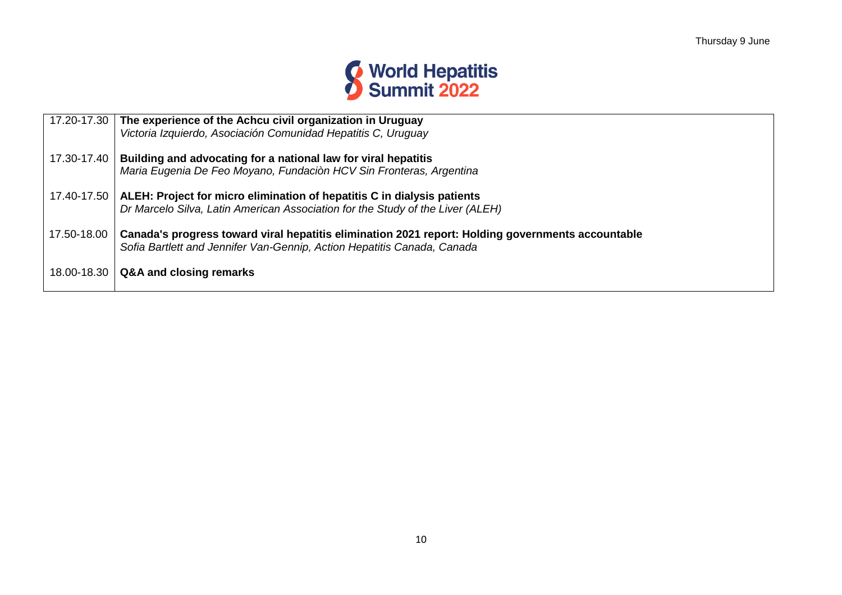

|             | 17.20-17.30 The experience of the Achcu civil organization in Uruguay<br>Victoria Izquierdo, Asociación Comunidad Hepatitis C, Uruguay                                       |
|-------------|------------------------------------------------------------------------------------------------------------------------------------------------------------------------------|
| 17.30-17.40 | Building and advocating for a national law for viral hepatitis<br>Maria Eugenia De Feo Moyano, Fundaciòn HCV Sin Fronteras, Argentina                                        |
| 17.40-17.50 | ALEH: Project for micro elimination of hepatitis C in dialysis patients<br>Dr Marcelo Silva, Latin American Association for the Study of the Liver (ALEH)                    |
| 17.50-18.00 | Canada's progress toward viral hepatitis elimination 2021 report: Holding governments accountable<br>Sofia Bartlett and Jennifer Van-Gennip, Action Hepatitis Canada, Canada |
| 18.00-18.30 | Q&A and closing remarks                                                                                                                                                      |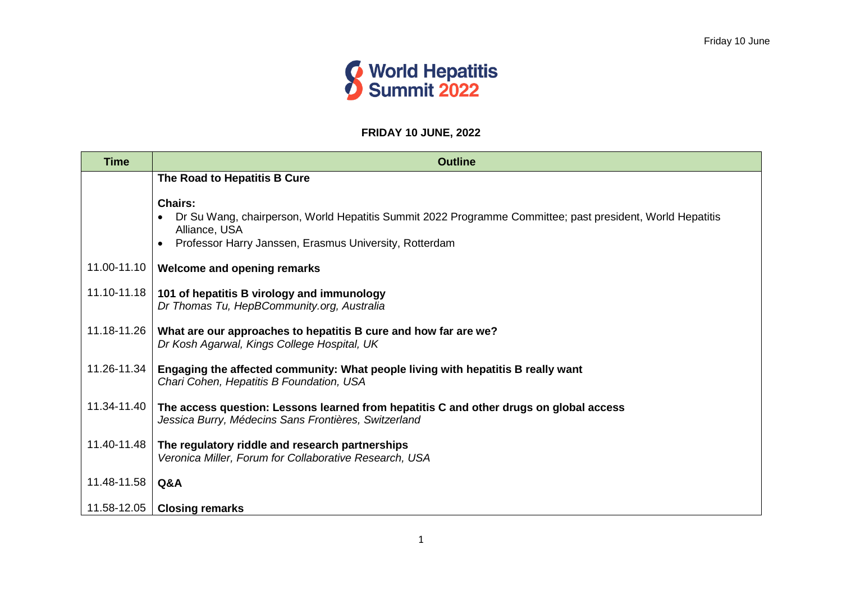

#### **FRIDAY 10 JUNE, 2022**

| <b>Time</b> | <b>Outline</b>                                                                                                                                                                                         |
|-------------|--------------------------------------------------------------------------------------------------------------------------------------------------------------------------------------------------------|
|             | The Road to Hepatitis B Cure                                                                                                                                                                           |
|             | <b>Chairs:</b><br>Dr Su Wang, chairperson, World Hepatitis Summit 2022 Programme Committee; past president, World Hepatitis<br>Alliance, USA<br>Professor Harry Janssen, Erasmus University, Rotterdam |
| 11.00-11.10 | Welcome and opening remarks                                                                                                                                                                            |
| 11.10-11.18 | 101 of hepatitis B virology and immunology<br>Dr Thomas Tu, HepBCommunity.org, Australia                                                                                                               |
| 11.18-11.26 | What are our approaches to hepatitis B cure and how far are we?<br>Dr Kosh Agarwal, Kings College Hospital, UK                                                                                         |
| 11.26-11.34 | Engaging the affected community: What people living with hepatitis B really want<br>Chari Cohen, Hepatitis B Foundation, USA                                                                           |
| 11.34-11.40 | The access question: Lessons learned from hepatitis C and other drugs on global access<br>Jessica Burry, Médecins Sans Frontières, Switzerland                                                         |
| 11.40-11.48 | The regulatory riddle and research partnerships<br>Veronica Miller, Forum for Collaborative Research, USA                                                                                              |
| 11.48-11.58 | Q&A                                                                                                                                                                                                    |
| 11.58-12.05 | <b>Closing remarks</b>                                                                                                                                                                                 |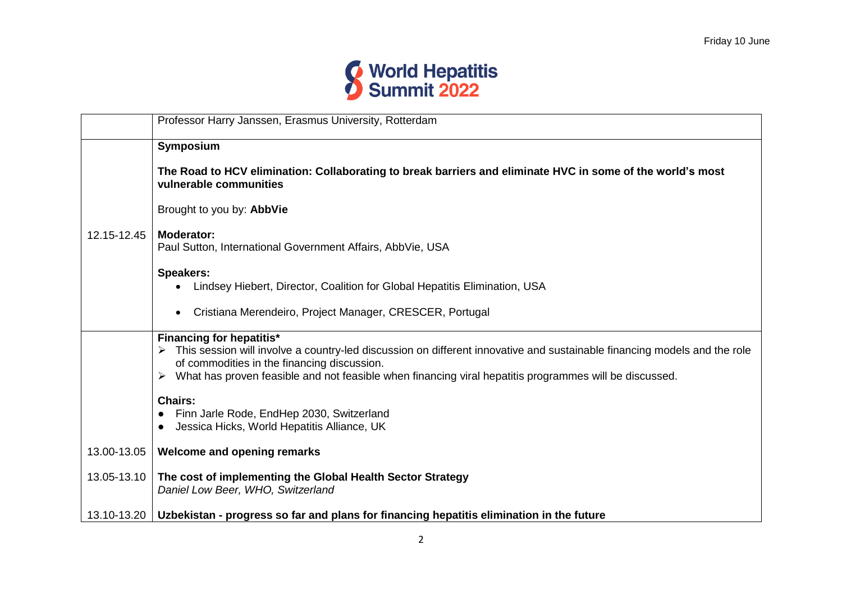

|             | Professor Harry Janssen, Erasmus University, Rotterdam                                                                                                                                                                                                                                                                   |
|-------------|--------------------------------------------------------------------------------------------------------------------------------------------------------------------------------------------------------------------------------------------------------------------------------------------------------------------------|
|             | Symposium                                                                                                                                                                                                                                                                                                                |
|             | The Road to HCV elimination: Collaborating to break barriers and eliminate HVC in some of the world's most<br>vulnerable communities                                                                                                                                                                                     |
|             | Brought to you by: AbbVie                                                                                                                                                                                                                                                                                                |
| 12.15-12.45 | <b>Moderator:</b><br>Paul Sutton, International Government Affairs, AbbVie, USA                                                                                                                                                                                                                                          |
|             | <b>Speakers:</b><br>Lindsey Hiebert, Director, Coalition for Global Hepatitis Elimination, USA                                                                                                                                                                                                                           |
|             | Cristiana Merendeiro, Project Manager, CRESCER, Portugal<br>$\bullet$                                                                                                                                                                                                                                                    |
|             | <b>Financing for hepatitis*</b><br>> This session will involve a country-led discussion on different innovative and sustainable financing models and the role<br>of commodities in the financing discussion.<br>> What has proven feasible and not feasible when financing viral hepatitis programmes will be discussed. |
|             | <b>Chairs:</b><br>Finn Jarle Rode, EndHep 2030, Switzerland<br>Jessica Hicks, World Hepatitis Alliance, UK                                                                                                                                                                                                               |
| 13.00-13.05 | <b>Welcome and opening remarks</b>                                                                                                                                                                                                                                                                                       |
| 13.05-13.10 | The cost of implementing the Global Health Sector Strategy<br>Daniel Low Beer, WHO, Switzerland                                                                                                                                                                                                                          |
| 13.10-13.20 | Uzbekistan - progress so far and plans for financing hepatitis elimination in the future                                                                                                                                                                                                                                 |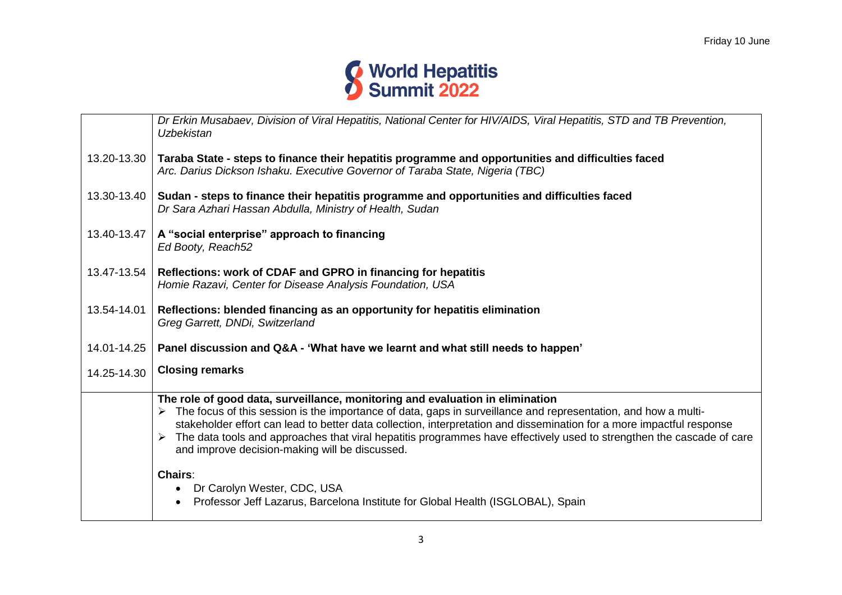

|             | Dr Erkin Musabaev, Division of Viral Hepatitis, National Center for HIV/AIDS, Viral Hepatitis, STD and TB Prevention,<br>Uzbekistan                                                                                                                                                                                                                                                                                                                                                                   |
|-------------|-------------------------------------------------------------------------------------------------------------------------------------------------------------------------------------------------------------------------------------------------------------------------------------------------------------------------------------------------------------------------------------------------------------------------------------------------------------------------------------------------------|
| 13.20-13.30 | Taraba State - steps to finance their hepatitis programme and opportunities and difficulties faced<br>Arc. Darius Dickson Ishaku. Executive Governor of Taraba State, Nigeria (TBC)                                                                                                                                                                                                                                                                                                                   |
| 13.30-13.40 | Sudan - steps to finance their hepatitis programme and opportunities and difficulties faced<br>Dr Sara Azhari Hassan Abdulla, Ministry of Health, Sudan                                                                                                                                                                                                                                                                                                                                               |
| 13.40-13.47 | A "social enterprise" approach to financing<br>Ed Booty, Reach52                                                                                                                                                                                                                                                                                                                                                                                                                                      |
| 13.47-13.54 | Reflections: work of CDAF and GPRO in financing for hepatitis<br>Homie Razavi, Center for Disease Analysis Foundation, USA                                                                                                                                                                                                                                                                                                                                                                            |
| 13.54-14.01 | Reflections: blended financing as an opportunity for hepatitis elimination<br>Greg Garrett, DNDi, Switzerland                                                                                                                                                                                                                                                                                                                                                                                         |
| 14.01-14.25 | Panel discussion and Q&A - 'What have we learnt and what still needs to happen'                                                                                                                                                                                                                                                                                                                                                                                                                       |
| 14.25-14.30 | <b>Closing remarks</b>                                                                                                                                                                                                                                                                                                                                                                                                                                                                                |
|             | The role of good data, surveillance, monitoring and evaluation in elimination<br>> The focus of this session is the importance of data, gaps in surveillance and representation, and how a multi-<br>stakeholder effort can lead to better data collection, interpretation and dissemination for a more impactful response<br>The data tools and approaches that viral hepatitis programmes have effectively used to strengthen the cascade of care<br>and improve decision-making will be discussed. |
|             | Chairs:<br>Dr Carolyn Wester, CDC, USA<br>$\bullet$<br>Professor Jeff Lazarus, Barcelona Institute for Global Health (ISGLOBAL), Spain                                                                                                                                                                                                                                                                                                                                                                |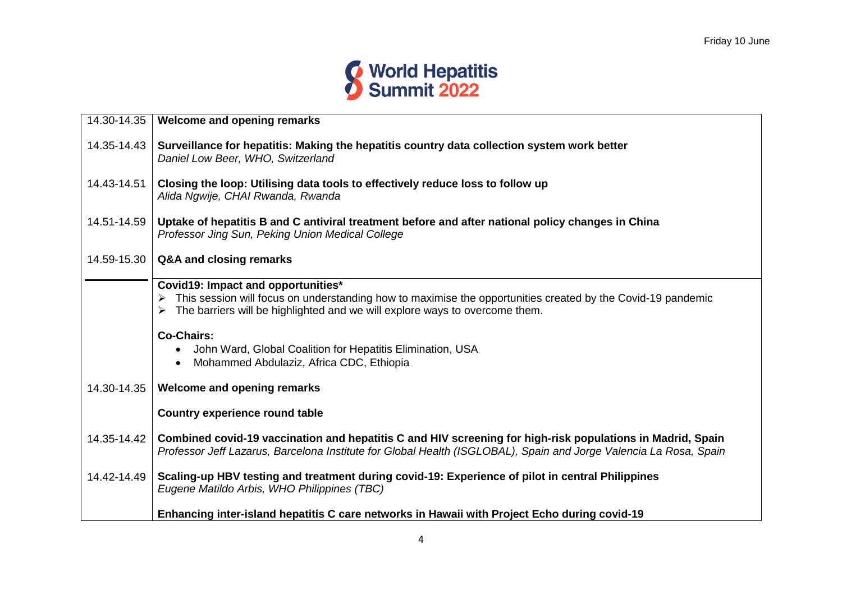

| 14.30-14.35<br>Welcome and opening remarks<br>Surveillance for hepatitis: Making the hepatitis country data collection system work better<br>14.35-14.43<br>Daniel Low Beer, WHO, Switzerland<br>14.43-14.51<br>Closing the loop: Utilising data tools to effectively reduce loss to follow up<br>Alida Ngwije, CHAI Rwanda, Rwanda<br>Uptake of hepatitis B and C antiviral treatment before and after national policy changes in China<br>14.51-14.59<br>Professor Jing Sun, Peking Union Medical College |
|-------------------------------------------------------------------------------------------------------------------------------------------------------------------------------------------------------------------------------------------------------------------------------------------------------------------------------------------------------------------------------------------------------------------------------------------------------------------------------------------------------------|
|                                                                                                                                                                                                                                                                                                                                                                                                                                                                                                             |
|                                                                                                                                                                                                                                                                                                                                                                                                                                                                                                             |
|                                                                                                                                                                                                                                                                                                                                                                                                                                                                                                             |
|                                                                                                                                                                                                                                                                                                                                                                                                                                                                                                             |
| 14.59-15.30<br>Q&A and closing remarks                                                                                                                                                                                                                                                                                                                                                                                                                                                                      |
| Covid19: Impact and opportunities*                                                                                                                                                                                                                                                                                                                                                                                                                                                                          |
| This session will focus on understanding how to maximise the opportunities created by the Covid-19 pandemic<br>The barriers will be highlighted and we will explore ways to overcome them.                                                                                                                                                                                                                                                                                                                  |
| <b>Co-Chairs:</b>                                                                                                                                                                                                                                                                                                                                                                                                                                                                                           |
| John Ward, Global Coalition for Hepatitis Elimination, USA<br>$\bullet$                                                                                                                                                                                                                                                                                                                                                                                                                                     |
| Mohammed Abdulaziz, Africa CDC, Ethiopia<br>$\bullet$                                                                                                                                                                                                                                                                                                                                                                                                                                                       |
|                                                                                                                                                                                                                                                                                                                                                                                                                                                                                                             |
| 14.30-14.35<br>Welcome and opening remarks                                                                                                                                                                                                                                                                                                                                                                                                                                                                  |
| <b>Country experience round table</b>                                                                                                                                                                                                                                                                                                                                                                                                                                                                       |
| Combined covid-19 vaccination and hepatitis C and HIV screening for high-risk populations in Madrid, Spain<br>14.35-14.42<br>Professor Jeff Lazarus, Barcelona Institute for Global Health (ISGLOBAL), Spain and Jorge Valencia La Rosa, Spain                                                                                                                                                                                                                                                              |
| Scaling-up HBV testing and treatment during covid-19: Experience of pilot in central Philippines<br>14.42-14.49<br>Eugene Matildo Arbis, WHO Philippines (TBC)                                                                                                                                                                                                                                                                                                                                              |
| Enhancing inter-island hepatitis C care networks in Hawaii with Project Echo during covid-19                                                                                                                                                                                                                                                                                                                                                                                                                |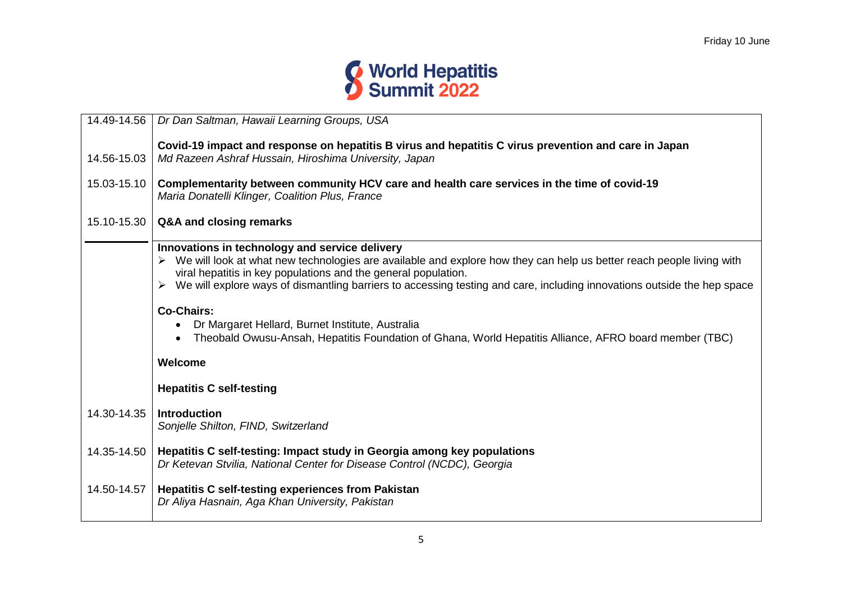

| 14.49-14.56 | Dr Dan Saltman, Hawaii Learning Groups, USA                                                                                                                                                                                                                                                                                                                                                     |
|-------------|-------------------------------------------------------------------------------------------------------------------------------------------------------------------------------------------------------------------------------------------------------------------------------------------------------------------------------------------------------------------------------------------------|
| 14.56-15.03 | Covid-19 impact and response on hepatitis B virus and hepatitis C virus prevention and care in Japan<br>Md Razeen Ashraf Hussain, Hiroshima University, Japan                                                                                                                                                                                                                                   |
| 15.03-15.10 | Complementarity between community HCV care and health care services in the time of covid-19<br>Maria Donatelli Klinger, Coalition Plus, France                                                                                                                                                                                                                                                  |
| 15.10-15.30 | Q&A and closing remarks                                                                                                                                                                                                                                                                                                                                                                         |
|             | Innovations in technology and service delivery<br>> We will look at what new technologies are available and explore how they can help us better reach people living with<br>viral hepatitis in key populations and the general population.<br>We will explore ways of dismantling barriers to accessing testing and care, including innovations outside the hep space<br>➤<br><b>Co-Chairs:</b> |
|             | Dr Margaret Hellard, Burnet Institute, Australia<br>Theobald Owusu-Ansah, Hepatitis Foundation of Ghana, World Hepatitis Alliance, AFRO board member (TBC)                                                                                                                                                                                                                                      |
|             | Welcome                                                                                                                                                                                                                                                                                                                                                                                         |
|             | <b>Hepatitis C self-testing</b>                                                                                                                                                                                                                                                                                                                                                                 |
| 14.30-14.35 | <b>Introduction</b><br>Sonjelle Shilton, FIND, Switzerland                                                                                                                                                                                                                                                                                                                                      |
| 14.35-14.50 | Hepatitis C self-testing: Impact study in Georgia among key populations<br>Dr Ketevan Stvilia, National Center for Disease Control (NCDC), Georgia                                                                                                                                                                                                                                              |
| 14.50-14.57 | <b>Hepatitis C self-testing experiences from Pakistan</b><br>Dr Aliya Hasnain, Aga Khan University, Pakistan                                                                                                                                                                                                                                                                                    |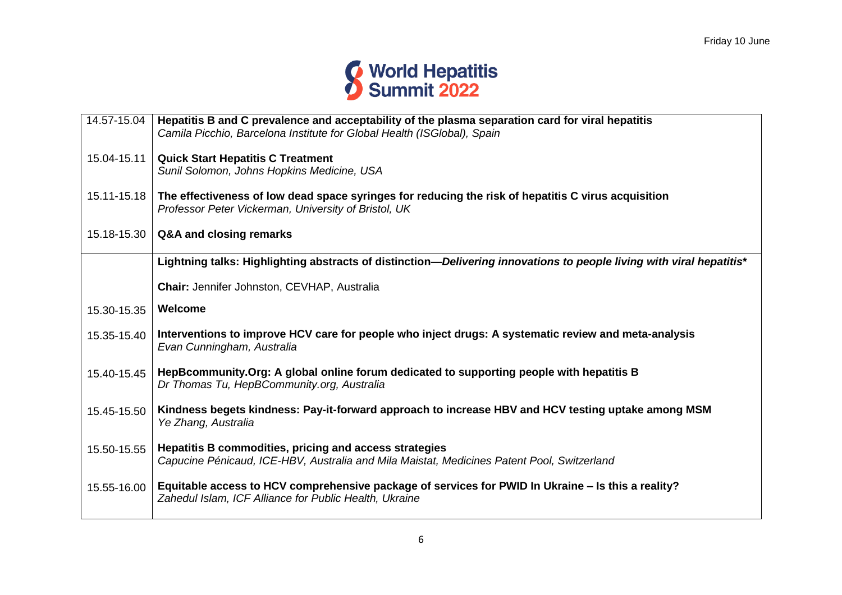

| 14.57-15.04 | Hepatitis B and C prevalence and acceptability of the plasma separation card for viral hepatitis<br>Camila Picchio, Barcelona Institute for Global Health (ISGlobal), Spain |
|-------------|-----------------------------------------------------------------------------------------------------------------------------------------------------------------------------|
| 15.04-15.11 | <b>Quick Start Hepatitis C Treatment</b><br>Sunil Solomon, Johns Hopkins Medicine, USA                                                                                      |
| 15.11-15.18 | The effectiveness of low dead space syringes for reducing the risk of hepatitis C virus acquisition<br>Professor Peter Vickerman, University of Bristol, UK                 |
| 15.18-15.30 | Q&A and closing remarks                                                                                                                                                     |
|             | Lightning talks: Highlighting abstracts of distinction-Delivering innovations to people living with viral hepatitis*                                                        |
|             | Chair: Jennifer Johnston, CEVHAP, Australia                                                                                                                                 |
| 15.30-15.35 | Welcome                                                                                                                                                                     |
| 15.35-15.40 | Interventions to improve HCV care for people who inject drugs: A systematic review and meta-analysis<br>Evan Cunningham, Australia                                          |
| 15.40-15.45 | HepBcommunity.Org: A global online forum dedicated to supporting people with hepatitis B<br>Dr Thomas Tu, HepBCommunity.org, Australia                                      |
| 15.45-15.50 | Kindness begets kindness: Pay-it-forward approach to increase HBV and HCV testing uptake among MSM<br>Ye Zhang, Australia                                                   |
| 15.50-15.55 | Hepatitis B commodities, pricing and access strategies<br>Capucine Pénicaud, ICE-HBV, Australia and Mila Maistat, Medicines Patent Pool, Switzerland                        |
| 15.55-16.00 | Equitable access to HCV comprehensive package of services for PWID In Ukraine – Is this a reality?<br>Zahedul Islam, ICF Alliance for Public Health, Ukraine                |
|             |                                                                                                                                                                             |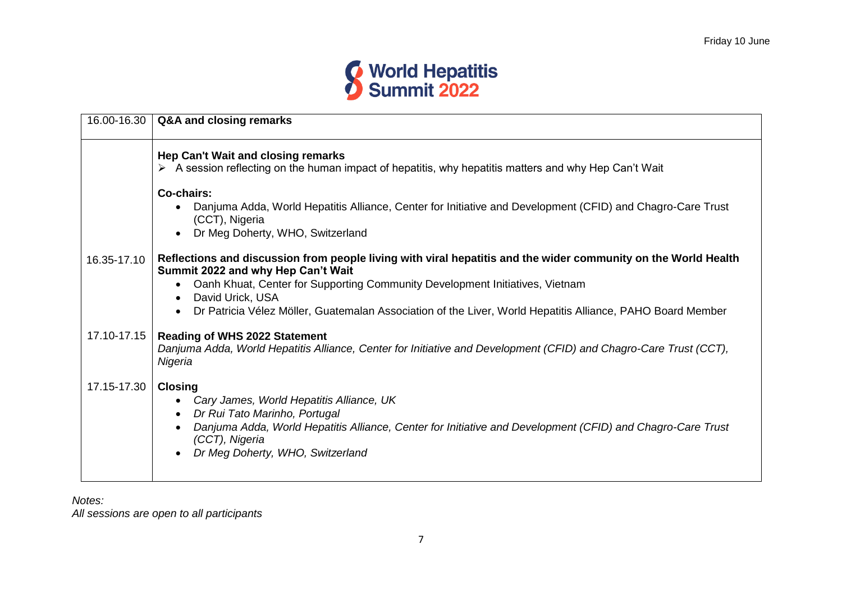

| 16.00-16.30 | Q&A and closing remarks                                                                                                                                                                                                                                                                                                                                                             |
|-------------|-------------------------------------------------------------------------------------------------------------------------------------------------------------------------------------------------------------------------------------------------------------------------------------------------------------------------------------------------------------------------------------|
|             | Hep Can't Wait and closing remarks<br>> A session reflecting on the human impact of hepatitis, why hepatitis matters and why Hep Can't Wait                                                                                                                                                                                                                                         |
|             | Co-chairs:<br>Danjuma Adda, World Hepatitis Alliance, Center for Initiative and Development (CFID) and Chagro-Care Trust<br>(CCT), Nigeria<br>Dr Meg Doherty, WHO, Switzerland<br>$\bullet$                                                                                                                                                                                         |
| 16.35-17.10 | Reflections and discussion from people living with viral hepatitis and the wider community on the World Health<br>Summit 2022 and why Hep Can't Wait<br>Oanh Khuat, Center for Supporting Community Development Initiatives, Vietnam<br>David Urick, USA<br>$\bullet$<br>Dr Patricia Vélez Möller, Guatemalan Association of the Liver, World Hepatitis Alliance, PAHO Board Member |
| 17.10-17.15 | <b>Reading of WHS 2022 Statement</b><br>Danjuma Adda, World Hepatitis Alliance, Center for Initiative and Development (CFID) and Chagro-Care Trust (CCT),<br>Nigeria                                                                                                                                                                                                                |
| 17.15-17.30 | <b>Closing</b><br>Cary James, World Hepatitis Alliance, UK<br>Dr Rui Tato Marinho, Portugal<br>$\bullet$<br>Danjuma Adda, World Hepatitis Alliance, Center for Initiative and Development (CFID) and Chagro-Care Trust<br>(CCT), Nigeria<br>Dr Meg Doherty, WHO, Switzerland                                                                                                        |

*Notes:*

*All sessions are open to all participants*